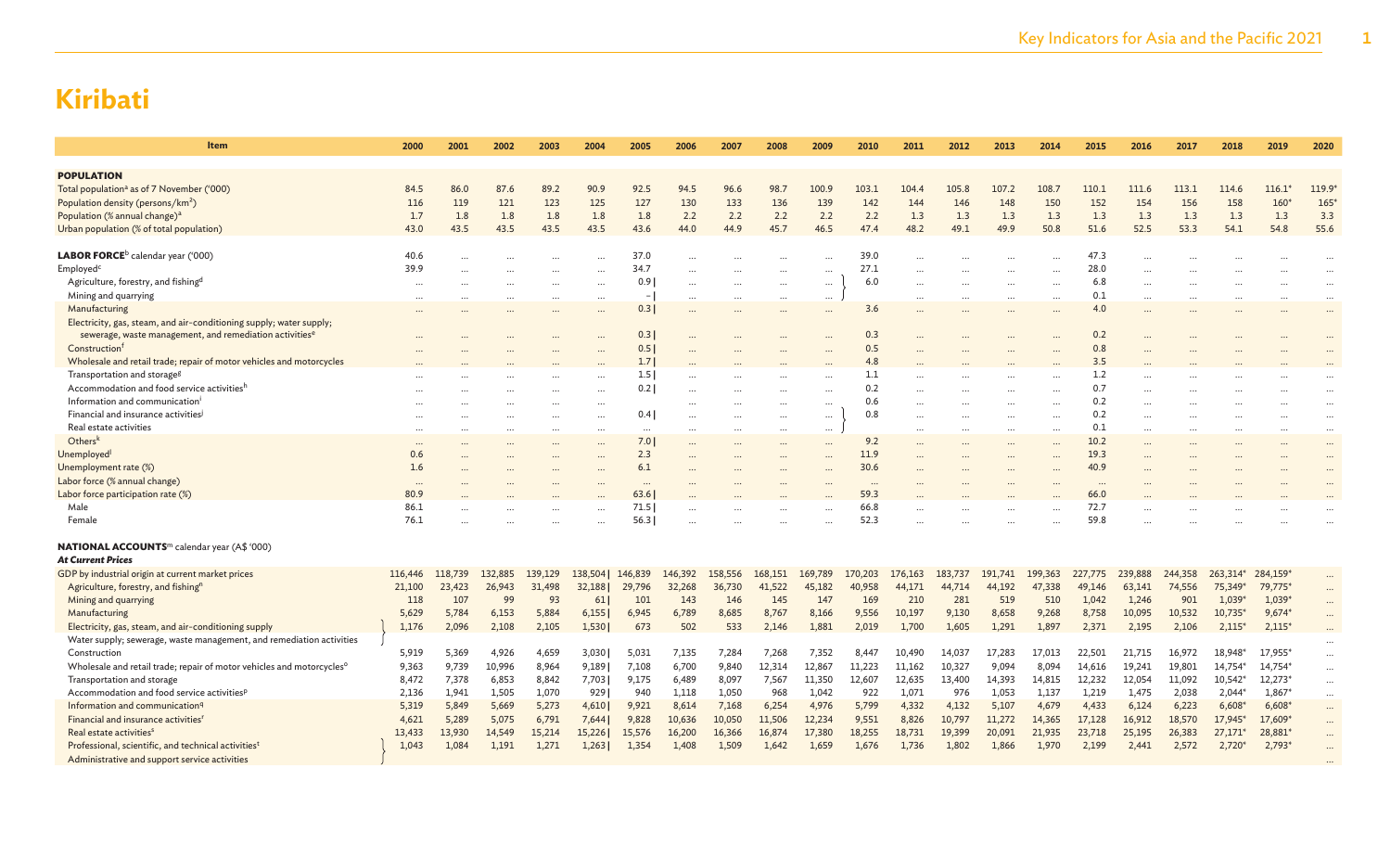| Item                                                                                                                                       | 2000     | 2001    | 2002    | 2003     | 2004      | 2005           | 2006      | 2007     | 2008      | 2009                 | 2010     | 2011      | 2012    | 2013    | 2014     | 2015      | 2016      | 2017      | 2018            | 2019     | 2020                      |
|--------------------------------------------------------------------------------------------------------------------------------------------|----------|---------|---------|----------|-----------|----------------|-----------|----------|-----------|----------------------|----------|-----------|---------|---------|----------|-----------|-----------|-----------|-----------------|----------|---------------------------|
|                                                                                                                                            |          |         |         |          |           |                |           |          |           |                      |          |           |         |         |          |           |           |           |                 |          |                           |
| <b>POPULATION</b><br>Total population <sup>a</sup> as of 7 November ('000)                                                                 | 84.5     | 86.0    | 87.6    | 89.2     | 90.9      | 92.5           | 94.5      | 96.6     | 98.7      | 100.9                | 103.1    | 104.4     | 105.8   | 107.2   | 108.7    | 110.1     | 111.6     | 113.1     | 114.6           | $116.1*$ | 119.9                     |
| Population density (persons/km <sup>2</sup> )                                                                                              | 116      | 119     | 121     | 123      | 125       | 127            | 130       | 133      | 136       | 139                  | 142      | 144       | 146     | 148     | 150      | 152       | 154       | 156       | 158             | 160      | 165                       |
| Population (% annual change) <sup>a</sup>                                                                                                  | 1.7      | 1.8     | 1.8     | 1.8      | 1.8       | 1.8            | 2.2       | 2.2      | 2.2       | 2.2                  | 2.2      | 1.3       | 1.3     | 1.3     | 1.3      | 1.3       | 1.3       | 1.3       | 1.3             | 1.3      | 3.3                       |
| Urban population (% of total population)                                                                                                   | 43.0     | 43.5    | 43.5    | 43.5     | 43.5      | 43.6           | 44.0      | 44.9     | 45.7      | 46.5                 | 47.4     | 48.2      | 49.1    | 49.9    | 50.8     | 51.6      | 52.5      | 53.3      | 54.1            | 54.8     | 55.6                      |
|                                                                                                                                            |          |         |         |          |           |                |           |          |           |                      |          |           |         |         |          |           |           |           |                 |          |                           |
| LABOR FORCE <sup>b</sup> calendar year ('000)                                                                                              | 40.6     |         |         |          |           | 37.0           |           |          |           | $\cdots$             | 39.0     |           |         |         |          | 47.3      |           |           |                 |          |                           |
| Employed <sup>c</sup>                                                                                                                      | 39.9     |         |         |          | $\cdots$  | 34.7           | $\ddotsc$ |          | $\cdots$  | $\cdots$             | 27.1     |           |         |         |          | 28.0      |           |           |                 |          | $\cdots$                  |
| Agriculture, forestry, and fishing <sup>d</sup>                                                                                            | $\cdots$ |         |         |          | $\ddots$  | 0.9            | $\cdots$  |          | $\cdots$  | $\cdots$             | 6.0      |           |         |         | $\cdots$ | 6.8       |           |           |                 |          | $\cdots$                  |
| Mining and quarrying                                                                                                                       |          |         |         |          |           | $\blacksquare$ |           |          |           | $\cdots$             |          |           |         |         |          | 0.1       |           |           |                 |          |                           |
| Manufacturing                                                                                                                              |          |         |         |          | $\ddotsc$ | 0.3            | $\ddotsc$ |          | $\ddotsc$ | $\cdots$             | 3.6      | $\ddotsc$ |         |         |          | 4.0       | $\ddotsc$ |           |                 |          | $\ddotsc$                 |
| Electricity, gas, steam, and air-conditioning supply; water supply;<br>sewerage, waste management, and remediation activities <sup>6</sup> |          |         |         |          |           | 0.3            |           |          |           |                      | 0.3      |           |         |         |          | 0.2       |           |           |                 |          |                           |
| Construction <sup>f</sup>                                                                                                                  |          |         |         |          |           | 0.5            |           |          |           |                      | 0.5      |           |         |         |          | 0.8       |           |           |                 |          |                           |
| Wholesale and retail trade; repair of motor vehicles and motorcycles                                                                       |          |         |         |          |           | 1.7            |           |          |           |                      | 4.8      |           |         |         |          | 3.5       |           |           |                 |          |                           |
| Transportation and storage <sup>g</sup>                                                                                                    |          |         |         |          |           | 1.5            |           |          |           |                      | 1.1      |           |         |         |          | 1.2       |           |           |                 |          |                           |
| Accommodation and food service activitiesh                                                                                                 |          |         |         |          |           | 0.2            |           |          |           |                      | 0.2      |           |         |         |          | 0.7       |           |           |                 |          |                           |
| Information and communicationi                                                                                                             |          |         |         |          | $\ddots$  |                | $\ddotsc$ |          | $\cdots$  | $\cdots$             | 0.6      |           |         |         |          | 0.2       |           |           |                 |          | $\ddots$                  |
| Financial and insurance activities <sup>j</sup>                                                                                            |          |         |         | <br>     | $\ddots$  | 0.4            |           |          | $\cdots$  | $\cdots$<br>$\cdots$ | 0.8      | <br>      |         |         |          | 0.2       |           |           |                 |          | $\cdot \cdot$<br>$\ddots$ |
| Real estate activities                                                                                                                     |          |         |         | $\cdots$ |           | $\cdots$       | $\cdots$  | $\cdots$ | $\cdots$  | $\cdots$             |          | $\cdots$  |         |         | $\cdots$ | 0.1       | $\cdots$  | $\ddotsc$ | $\ddotsc$       | $\cdots$ | $\ddots$                  |
| Othersk                                                                                                                                    |          |         |         |          |           | 7.01           |           |          |           |                      | 9.2      |           |         |         |          | 10.2      |           |           |                 |          |                           |
| Unemployed <sup>1</sup>                                                                                                                    | 0.6      |         |         |          |           | 2.3            |           |          |           |                      | 11.9     |           |         |         |          | 19.3      |           |           |                 |          | $\cdots$                  |
| Unemployment rate (%)                                                                                                                      | 1.6      |         |         |          |           | 6.1            |           |          |           |                      | 30.6     |           |         |         |          | 40.9      |           |           |                 |          |                           |
| Labor force (% annual change)                                                                                                              | $\cdots$ |         |         |          |           | $\cdots$       |           |          |           | $\ddotsc$            | $\cdots$ |           |         |         |          | $\ddotsc$ |           |           |                 |          |                           |
| Labor force participation rate (%)                                                                                                         | 80.9     |         |         |          |           | 63.6           |           |          |           |                      | 59.3     |           |         |         |          | 66.0      |           |           |                 |          |                           |
| Male                                                                                                                                       | 86.1     |         |         |          |           | 71.5           |           |          |           |                      | 66.8     |           |         |         |          | 72.7      |           |           |                 |          |                           |
| Female                                                                                                                                     | 76.1     |         |         |          |           | 56.3           |           |          |           |                      | 52.3     |           |         |         |          | 59.8      |           |           |                 |          |                           |
| <b>NATIONAL ACCOUNTS</b> <sup>m</sup> calendar year (A\$ '000)                                                                             |          |         |         |          |           |                |           |          |           |                      |          |           |         |         |          |           |           |           |                 |          |                           |
| <b>At Current Prices</b>                                                                                                                   |          |         |         |          |           |                |           |          |           |                      |          |           |         |         |          |           |           |           |                 |          |                           |
| GDP by industrial origin at current market prices                                                                                          | 116,446  | 118,739 | 132,885 | 139,129  | 138,504   | 146,839        | 146,392   | 158,556  | 168,151   | 169,789              | 170,203  | 176,163   | 183,737 | 191,741 | 199,363  | 227,775   | 239,888   | 244,358   | 263.314*        | 284,159* | $\cdots$                  |
| Agriculture, forestry, and fishing <sup>n</sup>                                                                                            | 21,100   | 23,423  | 26,943  | 31,498   | 32,188    | 29,796         | 32,268    | 36,730   | 41,522    | 45,182               | 40,958   | 44,171    | 44,714  | 44,192  | 47,338   | 49,146    | 63,141    | 74,556    | 75,349*         | 79,775*  | $\cdots$                  |
| Mining and quarrying                                                                                                                       | 118      | 107     | 99      | 93       | 61        | 101            | 143       | 146      | 145       | 147                  | 169      | 210       | 281     | 519     | 510      | 1,042     | 1,246     | 901       | $1,039*$        | $1,039*$ |                           |
| Manufacturing                                                                                                                              | 5,629    | 5,784   | 6,153   | 5,884    | 6,155     | 6,945          | 6,789     | 8,685    | 8,767     | 8,166                | 9,556    | 10,197    | 9,130   | 8,658   | 9,268    | 8,758     | 10,095    | 10,532    | 10,735*         | $9,674*$ |                           |
| Electricity, gas, steam, and air-conditioning supply                                                                                       | 1,176    | 2,096   | 2,108   | 2,105    | 1,530     | 673            | 502       | 533      | 2,146     | 1,881                | 2,019    | 1,700     | 1,605   | 1,291   | 1,897    | 2,371     | 2,195     | 2,106     | $2,115*$        | $2,115*$ | $\cdots$                  |
| Water supply; sewerage, waste management, and remediation activities                                                                       |          |         |         |          |           |                |           |          |           |                      |          |           |         |         |          |           |           |           |                 |          | $\cdots$                  |
| Construction                                                                                                                               | 5,919    | 5,369   | 4,926   | 4,659    | 3,030     | 5,031          | 7,135     | 7,284    | 7,268     | 7,352                | 8,447    | 10,490    | 14,037  | 17,283  | 17,013   | 22,501    | 21,715    | 16,972    | 18,948*         | 17,955*  | $\cdots$                  |
| Wholesale and retail trade; repair of motor vehicles and motorcycles <sup>o</sup>                                                          | 9,363    | 9,739   | 10,996  | 8,964    | 9,189     | 7,108          | 6,700     | 9,840    | 12,314    | 12,867               | 11,223   | 11,162    | 10,327  | 9,094   | 8,094    | 14,616    | 19,241    | 19,801    | 14,754*         | 14,754*  | $\cdots$                  |
| Transportation and storage                                                                                                                 | 8,472    | 7,378   | 6,853   | 8,842    | 7,703     | 9,175          | 6,489     | 8,097    | 7,567     | 11,350               | 12,607   | 12,635    | 13,400  | 14,393  | 14,815   | 12,232    | 12,054    | 11,092    | 10,542*         | 12,273*  | $\cdots$                  |
| Accommodation and food service activities <sup>p</sup>                                                                                     | 2,136    | 1,941   | 1,505   | 1,070    | 929       | 940            | 1,118     | 1,050    | 968       | 1,042                | 922      | 1,071     | 976     | 1,053   | 1,137    | 1,219     | 1,475     | 2,038     | 2,044           | 1,867*   | $\cdots$                  |
| Information and communication <sup>q</sup>                                                                                                 | 5,319    | 5,849   | 5,669   | 5,273    | 4,610     | 9,921          | 8,614     | 7,168    | 6,254     | 4,976                | 5,799    | 4,332     | 4,132   | 5,107   | 4,679    | 4,433     | 6,124     | 6,223     | 6,608           | $6,608*$ | $\cdots$                  |
| Financial and insurance activities <sup>1</sup>                                                                                            | 4,621    | 5,289   | 5,075   | 6,791    | 7,644     | 9,828          | 10,636    | 10,050   | 11,506    | 12,234               | 9,551    | 8,826     | 10,797  | 11,272  | 14,365   | 17,128    | 16,912    | 18,570    | 17,945*         | 17,609*  | $\cdots$                  |
| Real estate activities <sup>s</sup>                                                                                                        | 13,433   | 13,930  | 14,549  | 15,214   | 15,226    | 15,576         | 16,200    | 16,366   | 16,874    | 17,380               | 18,255   | 18,731    | 19,399  | 20,091  | 21,935   | 23,718    | 25,195    | 26,383    | 27,171          | 28,881*  | $\cdots$                  |
| Professional, scientific, and technical activities <sup>t</sup>                                                                            | 1,043    | 1,084   | 1,191   | 1,271    | 1,263     | 1,354          | 1,408     | 1,509    | 1,642     | 1,659                | 1,676    | 1,736     | 1,802   | 1,866   | 1,970    | 2,199     | 2,441     | 2,572     | $2,720^{\circ}$ | 2,793    | $\cdots$                  |
| Administrative and support service activities                                                                                              |          |         |         |          |           |                |           |          |           |                      |          |           |         |         |          |           |           |           |                 |          |                           |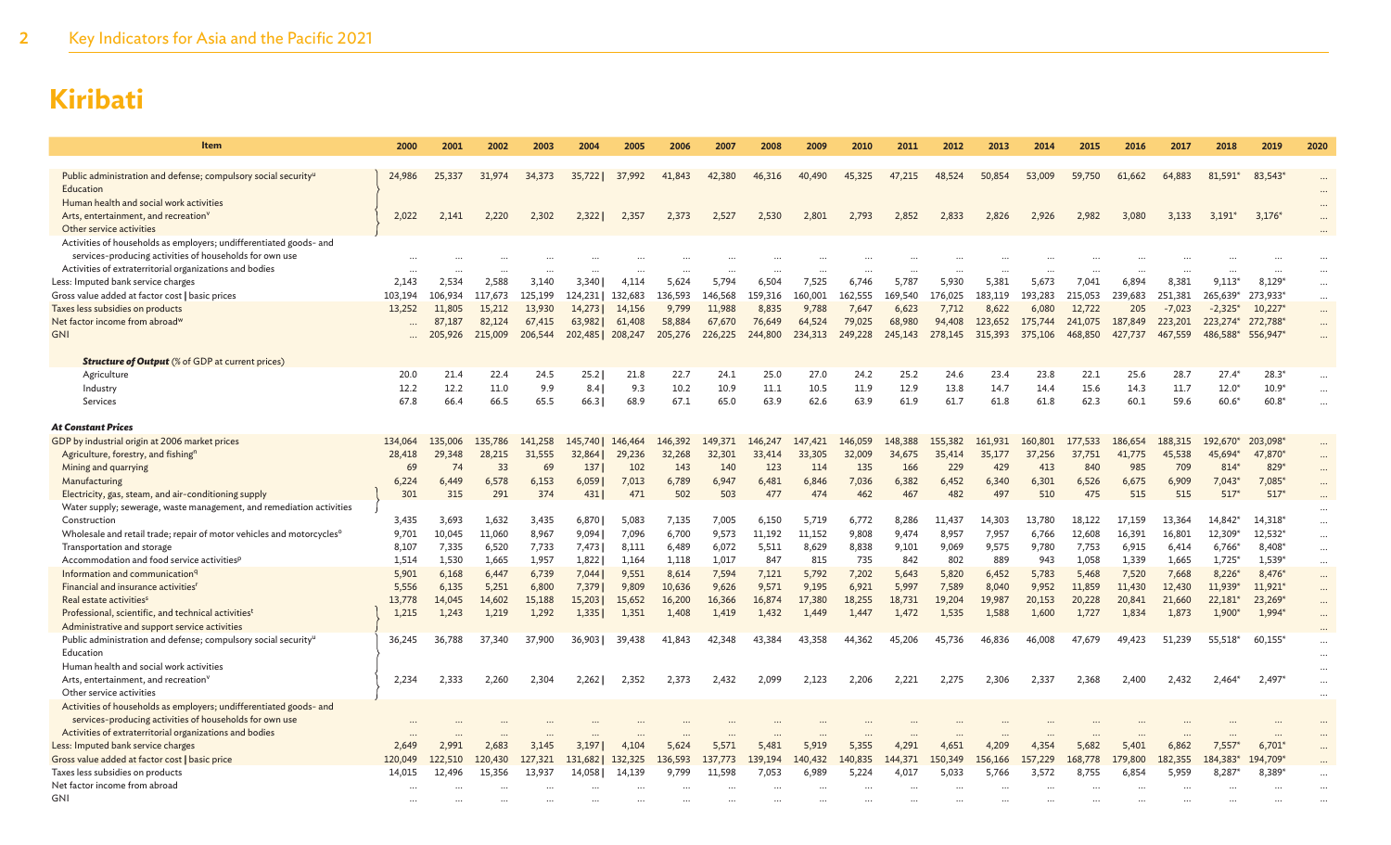| Item                                                                                                                          | 2000              | 2001              | 2002              | 2003              | 2004              | 2005              | 2006             | 2007              | 2008         | 2009             | 2010             | 2011             | 2012             | 2013         | 2014             | 2015           | 2016             | 2017             | 2018                           | 2019               | 2020                 |
|-------------------------------------------------------------------------------------------------------------------------------|-------------------|-------------------|-------------------|-------------------|-------------------|-------------------|------------------|-------------------|--------------|------------------|------------------|------------------|------------------|--------------|------------------|----------------|------------------|------------------|--------------------------------|--------------------|----------------------|
| Public administration and defense; compulsory social security <sup>u</sup>                                                    | 24,986            | 25,337            | 31,974            | 34,373            | 35,7221           | 37,992            | 41,843           | 42,380            | 46,316       | 40,490           | 45,325           | 47,215           | 48,524           | 50,854       | 53,009           | 59,750         | 61.662           | 64,883           | 81,591*                        | 83.543*            |                      |
| Education                                                                                                                     |                   |                   |                   |                   |                   |                   |                  |                   |              |                  |                  |                  |                  |              |                  |                |                  |                  |                                |                    |                      |
| Human health and social work activities                                                                                       |                   |                   |                   |                   |                   |                   |                  |                   |              |                  |                  |                  |                  |              |                  |                |                  |                  |                                |                    |                      |
| Arts, entertainment, and recreation <sup>v</sup>                                                                              | 2,022             | 2,141             | 2,220             | 2,302             | 2,322             | 2,357             | 2,373            | 2,527             | 2,530        | 2,801            | 2,793            | 2,852            | 2,833            | 2,826        | 2,926            | 2,982          | 3.080            | 3,133            | $3,191*$                       | $3,176*$           |                      |
| Other service activities                                                                                                      |                   |                   |                   |                   |                   |                   |                  |                   |              |                  |                  |                  |                  |              |                  |                |                  |                  |                                |                    |                      |
| Activities of households as employers; undifferentiated goods- and<br>services-producing activities of households for own use |                   |                   |                   |                   |                   |                   |                  |                   |              |                  |                  |                  |                  |              |                  |                |                  |                  |                                |                    |                      |
| Activities of extraterritorial organizations and bodies                                                                       |                   |                   |                   |                   |                   |                   |                  |                   |              |                  |                  |                  |                  |              |                  |                |                  |                  |                                |                    |                      |
| Less: Imputed bank service charges                                                                                            | 2,143             | 2,534             | 2,588             | 3,140             | 3,340             | 4,114             | 5,624            | 5,794             | 6,504        | 7,525            | 6,746            | 5,787            | 5,930            | 5,381        | 5,673            | 7,041          | 6,894            | 8,381            | $9.113*$                       | 8,129*             | $\cdots$             |
| Gross value added at factor cost   basic prices                                                                               | 103,194           | 106,934           | 117,673           | 125,199           | 124,231           | 132,683           | 136,593          | 146,568           | 159,316      | 160,001          | 162,555          | 169,540          | 176,025          | 183,119      | 193,283          | 215,053        | 239,683          | 251,381          | 265,639*                       | 273,933*           | $\cdots$             |
| Taxes less subsidies on products                                                                                              | 13,252            | 11.805            | 15,212            | 13,930            | 14,273            | 14,156            | 9,799            | 11,988            | 8.835        | 9,788            | 7,647            | 6,623            | 7,712            | 8,622        | 6,080            | 12.722         | 205              | $-7,023$         | $-2,325$ <sup>*</sup>          | 10,227*            | $\cdots$             |
| Net factor income from abroad <sup>w</sup>                                                                                    |                   | 87,187            | 82,124            | 67,415            | 63,982            | 61,408            | 58,884           | 67,670            | 76,649       | 64,524           | 79,025           | 68,980           | 94,408           | 123,652      | 175,744          | 241,075        | 187,849          | 223,201          | 223,274*                       | 272,788*           | $\cdots$             |
| <b>GNI</b>                                                                                                                    |                   | 205,926           | 215,009           | 206,544           | 202,485           | 208,247           | 205,276          | 226,225           | 244,800      | 234,313          | 249,228          | 245,143          | 278,145          | 315,393      | 375,106          | 468,850        | 427,737          | 467,559          | 486,588*                       | 556,947*           |                      |
|                                                                                                                               |                   |                   |                   |                   |                   |                   |                  |                   |              |                  |                  |                  |                  |              |                  |                |                  |                  |                                |                    |                      |
| <b>Structure of Output</b> (% of GDP at current prices)                                                                       |                   |                   |                   |                   |                   |                   |                  |                   |              |                  |                  |                  |                  |              |                  |                |                  |                  |                                |                    |                      |
| Agriculture                                                                                                                   | 20.0              | 21.4              | 22.4              | 24.5              | 25.2              | 21.8              | 22.7             | 24.1              | 25.0         | 27.0             | 24.2             | 25.2             | 24.6             | 23.4         | 23.8             | 22.1           | 25.6             | 28.7             | $27.4*$                        | $28.3*$            |                      |
| Industry<br>Services                                                                                                          | 12.2<br>67.8      | 12.2<br>66.4      | 11.0<br>66.5      | 9.9<br>65.5       | 8.4<br>66.3       | 9.3<br>68.9       | 10.2<br>67.1     | 10.9<br>65.0      | 11.1<br>63.9 | 10.5<br>62.6     | 11.9<br>63.9     | 12.9<br>61.9     | 13.8<br>61.7     | 14.7<br>61.8 | 14.4<br>61.8     | 15.6<br>62.3   | 14.3<br>60.1     | 11.7<br>59.6     | $12.0*$<br>$60.6*$             | $10.9*$<br>$60.8*$ |                      |
|                                                                                                                               |                   |                   |                   |                   |                   |                   |                  |                   |              |                  |                  |                  |                  |              |                  |                |                  |                  |                                |                    |                      |
| <b>At Constant Prices</b>                                                                                                     |                   |                   |                   |                   |                   |                   |                  |                   |              |                  |                  |                  |                  |              |                  |                |                  |                  |                                |                    |                      |
| GDP by industrial origin at 2006 market prices                                                                                | 134,064           | 135,006           | 135,786           | 141,258           | 145,740           | 146,464           | 146,392          | 149,371           | 146,247      | 147,421          | 146,059          | 148,388          | 155,382          | 161,931      | 160,801          | 177,533        | 186,654          | 188,315          | 192.670*                       | 203.098*           |                      |
| Agriculture, forestry, and fishing <sup>n</sup>                                                                               | 28,418            | 29,348            | 28,215            | 31,555            | 32,864            | 29,236            | 32,268           | 32,301            | 33,414       | 33,305           | 32,009           | 34,675           | 35,414           | 35,177       | 37,256           | 37.751         | 41,775           | 45,538           | 45,694*                        | 47,870*            |                      |
| Mining and quarrying                                                                                                          | 69                | 74                | 33                | 69                | 137               | 102               | 143              | 140               | 123          | 114              | 135              | 166              | 229              | 429          | 413              | 840            | 985              | 709              | 814*                           | 829*               |                      |
| Manufacturing                                                                                                                 | 6.224             | 6.449             | 6,578             | 6,153             | 6,059             | 7,013             | 6,789            | 6.947             | 6.481        | 6,846            | 7.036            | 6.382            | 6,452            | 6,340        | 6.301            | 6,526          | 6.675            | 6.909            | $7,043*$                       | 7,085*             |                      |
| Electricity, gas, steam, and air-conditioning supply                                                                          | 301               | 315               | 291               | 374               | 431               | 471               | 502              | 503               | 477          | 474              | 462              | 467              | 482              | 497          | 510              | 475            | 515              | 515              | $517*$                         | $517*$             |                      |
| Water supply; sewerage, waste management, and remediation activities                                                          |                   |                   |                   |                   |                   |                   |                  |                   |              |                  |                  |                  |                  |              |                  |                |                  |                  |                                |                    |                      |
| Construction                                                                                                                  | 3,435             | 3,693             | 1,632             | 3,435             | 6,870             | 5,083             | 7,135            | 7,005             | 6,150        | 5,719            | 6,772            | 8,286            | 11,437           | 14,303       | 13,780           | 18,122         | 17,159           | 13,364           | 14,842*                        | 14,318*            | $\cdots$             |
| Wholesale and retail trade; repair of motor vehicles and motorcycles <sup>o</sup>                                             | 9,701             | 10,045            | 11,060            | 8,967             | 9,094             | 7.096             | 6,700            | 9,573             | 11,192       | 11,152           | 9.808            | 9.474            | 8,957            | 7,957        | 6.766            | 12,608         | 16,391           | 16,801           | 12,309*                        | 12.532*            | $\cdots$             |
| Transportation and storage<br>Accommodation and food service activities <sup>p</sup>                                          | 8,107<br>1,514    | 7,335<br>1,530    | 6,520<br>1,665    | 7,733<br>1,957    | 7,473<br>1,822    | 8,111<br>1,164    | 6,489<br>1,118   | 6,072<br>1,017    | 5,511<br>847 | 8,629<br>815     | 8,838<br>735     | 9,101<br>842     | 9,069<br>802     | 9,575<br>889 | 9,780<br>943     | 7,753<br>1,058 | 6,915<br>1,339   | 6,414<br>1,665   | 6,766*<br>$1,725$ <sup>*</sup> | 8,408*<br>1,539*   | $\cdots$             |
| Information and communication <sup>q</sup>                                                                                    | 5,901             | 6,168             | 6,447             | 6,739             | 7,044             | 9,551             | 8,614            | 7,594             | 7,121        | 5,792            | 7,202            | 5,643            | 5,820            | 6,452        | 5,783            | 5,468          | 7,520            | 7,668            | 8,226*                         | 8,476*             | $\cdots$             |
| Financial and insurance activities <sup>1</sup>                                                                               | 5,556             | 6,135             | 5,251             | 6,800             | 7,379             | 9,809             | 10,636           | 9,626             | 9,571        | 9,195            | 6,921            | 5,997            | 7,589            | 8,040        | 9,952            | 11,859         | 11,430           | 12,430           | 11,939*                        | $11,921*$          | $\cdots$<br>$\cdots$ |
| Real estate activities <sup>s</sup>                                                                                           | 13,778            | 14,045            | 14,602            | 15,188            | 15,203            | 15,652            | 16,200           | 16,366            | 16,874       | 17,380           | 18,255           | 18,731           | 19,204           | 19,987       | 20,153           | 20,228         | 20,841           | 21,660           | 22,181*                        | 23,269*            | $\cdots$             |
| Professional, scientific, and technical activities <sup>t</sup>                                                               | 1,215             | 1,243             | 1,219             | 1,292             | 1,335             | 1,351             | 1,408            | 1,419             | 1,432        | 1,449            | 1,447            | 1,472            | 1,535            | 1,588        | 1,600            | 1,727          | 1,834            | 1,873            | $1,900*$                       | $1,994*$           | $\ddotsc$            |
| Administrative and support service activities                                                                                 |                   |                   |                   |                   |                   |                   |                  |                   |              |                  |                  |                  |                  |              |                  |                |                  |                  |                                |                    |                      |
| Public administration and defense; compulsory social security <sup>u</sup>                                                    | 36,245            | 36,788            | 37,340            | 37,900            | 36,903            | 39,438            | 41,843           | 42,348            | 43.384       | 43,358           | 44,362           | 45,206           | 45,736           | 46,836       | 46,008           | 47,679         | 49,423           | 51,239           | 55,518*                        | 60,155*            |                      |
| Education                                                                                                                     |                   |                   |                   |                   |                   |                   |                  |                   |              |                  |                  |                  |                  |              |                  |                |                  |                  |                                |                    |                      |
| Human health and social work activities                                                                                       |                   |                   |                   |                   |                   |                   |                  |                   |              |                  |                  |                  |                  |              |                  |                |                  |                  |                                |                    |                      |
| Arts, entertainment, and recreation <sup>v</sup>                                                                              | 2,234             | 2,333             | 2,260             | 2,304             | 2,262             | 2,352             | 2,373            | 2,432             | 2,099        | 2,123            | 2,206            | 2,221            | 2,275            | 2,306        | 2,337            | 2,368          | 2,400            | 2,432            | $2,464*$                       | 2,497              |                      |
| Other service activities                                                                                                      |                   |                   |                   |                   |                   |                   |                  |                   |              |                  |                  |                  |                  |              |                  |                |                  |                  |                                |                    |                      |
| Activities of households as employers; undifferentiated goods- and<br>services-producing activities of households for own use |                   |                   |                   |                   |                   |                   |                  |                   |              |                  |                  |                  |                  |              |                  |                |                  |                  |                                |                    |                      |
| Activities of extraterritorial organizations and bodies                                                                       |                   |                   |                   |                   |                   |                   |                  |                   |              |                  |                  |                  |                  |              |                  |                |                  |                  |                                |                    |                      |
| Less: Imputed bank service charges                                                                                            | 2,649             | 2,991             | 2,683             | 3,145             | 3,197             | 4,104             | 5,624            | 5,571             | 5,481        | 5,919            | 5,355            | 4,291            | 4,651            | 4,209        | 4,354            | 5,682          | 5,401            | 6,862            | $7,557*$                       | $6,701*$           |                      |
| Gross value added at factor cost   basic price<br>Taxes less subsidies on products                                            | 120,049<br>14,015 | 122,510<br>12.496 | 120,430<br>15,356 | 127,321<br>13,937 | 131,682<br>14,058 | 132,325<br>14.139 | 136,593<br>9.799 | 137,773<br>11.598 | 139,194      | 140,432<br>6.989 | 140,835<br>5,224 | 144,371<br>4.017 | 150,349<br>5.033 | 156,166      | 157,229<br>3,572 | 168,778        | 179,800<br>6.854 | 182.355<br>5,959 | 184.383*<br>8,287              | 194,709*<br>8.389  |                      |
| Net factor income from abroad                                                                                                 |                   |                   |                   |                   |                   |                   |                  |                   | 7,053        |                  |                  |                  |                  | 5,766        |                  | 8,755          |                  |                  |                                |                    |                      |
| <b>GNI</b>                                                                                                                    |                   |                   |                   |                   |                   |                   |                  |                   |              |                  |                  |                  |                  |              |                  |                |                  |                  |                                |                    |                      |
|                                                                                                                               |                   |                   |                   |                   |                   |                   |                  |                   |              |                  |                  |                  |                  |              |                  |                |                  |                  |                                |                    |                      |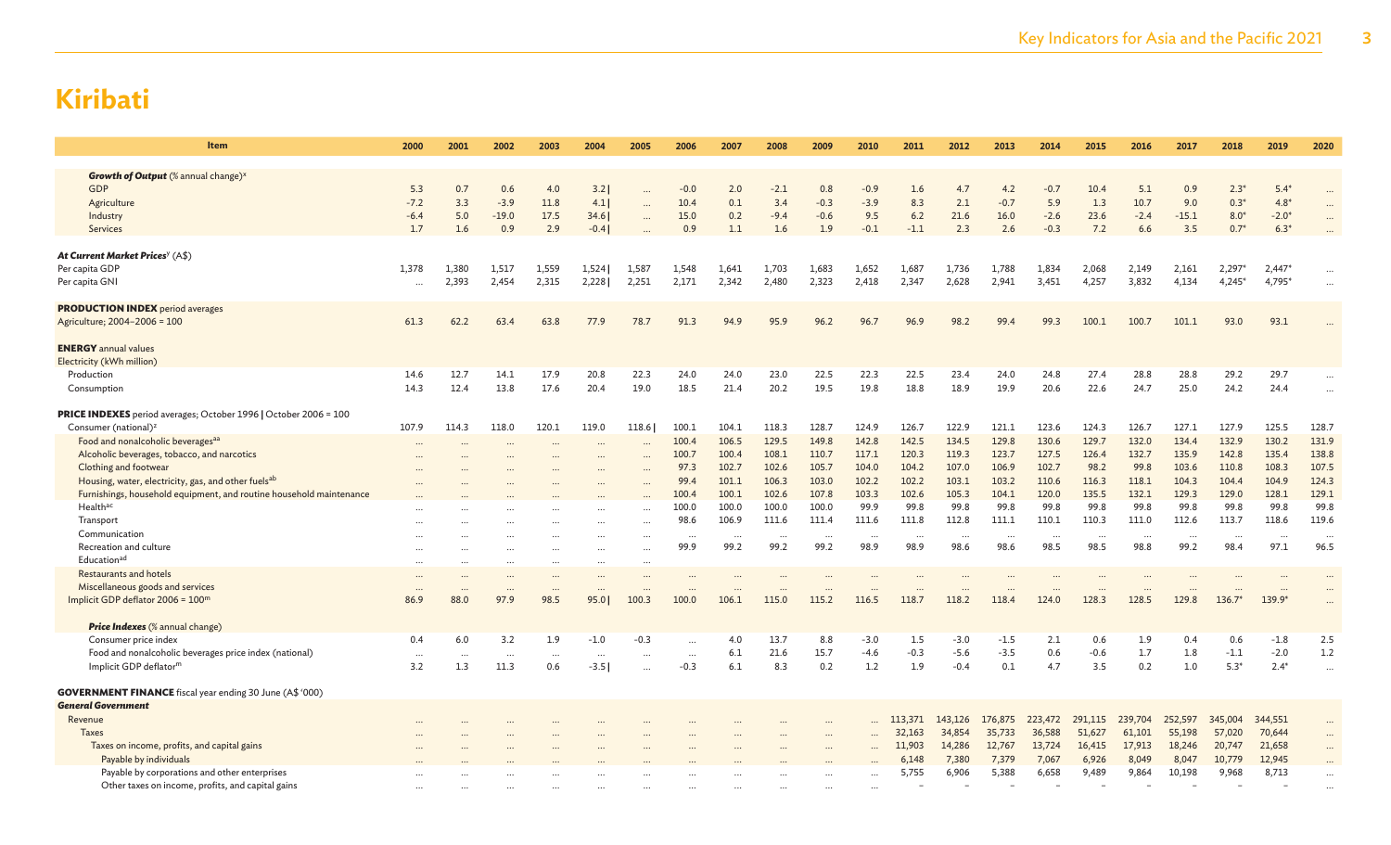| Item                                                                                                                                                                                                                                                                                                                                                                                                                                                              | 2000                           | 2001                     | 2002                            | 2003                       | 2004                                        | 2005                                          | 2006                                                                                  | 2007                                                                             | 2008                                                                                     | 2009                                                                             | 2010                                                                            | 2011                                                                            | 2012                                                                             | 2013                                                                            | 2014                                                                                    | 2015                                                                           | 2016                                                                                   | 2017                                                                                    | 2018                                                                            | 2019                                                                            | 2020                                                                                    |
|-------------------------------------------------------------------------------------------------------------------------------------------------------------------------------------------------------------------------------------------------------------------------------------------------------------------------------------------------------------------------------------------------------------------------------------------------------------------|--------------------------------|--------------------------|---------------------------------|----------------------------|---------------------------------------------|-----------------------------------------------|---------------------------------------------------------------------------------------|----------------------------------------------------------------------------------|------------------------------------------------------------------------------------------|----------------------------------------------------------------------------------|---------------------------------------------------------------------------------|---------------------------------------------------------------------------------|----------------------------------------------------------------------------------|---------------------------------------------------------------------------------|-----------------------------------------------------------------------------------------|--------------------------------------------------------------------------------|----------------------------------------------------------------------------------------|-----------------------------------------------------------------------------------------|---------------------------------------------------------------------------------|---------------------------------------------------------------------------------|-----------------------------------------------------------------------------------------|
| <b>Growth of Output</b> (% annual change) <sup>x</sup><br><b>GDP</b><br>Agriculture<br>Industry<br>Services                                                                                                                                                                                                                                                                                                                                                       | 5.3<br>$-7.2$<br>$-6.4$<br>1.7 | 0.7<br>3.3<br>5.0<br>1.6 | 0.6<br>$-3.9$<br>$-19.0$<br>0.9 | 4.0<br>11.8<br>17.5<br>2.9 | 3.2<br>4.1<br>34.6<br>$-0.4$                | $\cdots$                                      | $-0.0$<br>10.4<br>15.0<br>0.9                                                         | 2.0<br>0.1<br>0.2<br>1.1                                                         | $-2.1$<br>3.4<br>$-9.4$<br>1.6                                                           | 0.8<br>$-0.3$<br>$-0.6$<br>1.9                                                   | $-0.9$<br>$-3.9$<br>9.5<br>$-0.1$                                               | 1.6<br>8.3<br>$6.2$<br>$-1.1$                                                   | 4.7<br>2.1<br>21.6<br>2.3                                                        | 4.2<br>$-0.7$<br>16.0<br>2.6                                                    | $-0.7$<br>5.9<br>$-2.6$<br>$-0.3$                                                       | 10.4<br>1.3<br>23.6<br>7.2                                                     | 5.1<br>10.7<br>$-2.4$<br>6.6                                                           | 0.9<br>9.0<br>$-15.1$<br>3.5                                                            | $2.3*$<br>$0.3*$<br>$8.0*$<br>$0.7*$                                            | $5.4*$<br>$4.8*$<br>$-2.0*$<br>$6.3*$                                           |                                                                                         |
| At Current Market Prices <sup>y</sup> (A\$)<br>Per capita GDP<br>Per capita GNI                                                                                                                                                                                                                                                                                                                                                                                   | 1,378<br>$\cdots$              | 1,380<br>2,393           | 1,517<br>2,454                  | 1,559<br>2,315             | 1,524<br>2,228                              | 1,587<br>2,251                                | 1,548<br>2,171                                                                        | 1,641<br>2,342                                                                   | 1,703<br>2,480                                                                           | 1,683<br>2,323                                                                   | 1,652<br>2,418                                                                  | 1,687<br>2,347                                                                  | 1,736<br>2,628                                                                   | 1,788<br>2,941                                                                  | 1,834<br>3,451                                                                          | 2,068<br>4,257                                                                 | 2,149<br>3,832                                                                         | 2,161<br>4,134                                                                          | 2,297*<br>$4,245*$                                                              | $2,447*$<br>4,795*                                                              |                                                                                         |
| <b>PRODUCTION INDEX</b> period averages<br>Agriculture; 2004-2006 = 100<br><b>ENERGY</b> annual values<br>Electricity (kWh million)                                                                                                                                                                                                                                                                                                                               | 61.3                           | 62.2                     | 63.4                            | 63.8                       | 77.9                                        | 78.7                                          | 91.3                                                                                  | 94.9                                                                             | 95.9                                                                                     | 96.2                                                                             | 96.7                                                                            | 96.9                                                                            | 98.2                                                                             | 99.4                                                                            | 99.3                                                                                    | 100.1                                                                          | 100.7                                                                                  | 101.1                                                                                   | 93.0                                                                            | 93.1                                                                            |                                                                                         |
| Production<br>Consumption                                                                                                                                                                                                                                                                                                                                                                                                                                         | 14.6<br>14.3                   | 12.7<br>12.4             | 14.1<br>13.8                    | 17.9<br>17.6               | 20.8<br>20.4                                | 22.3<br>19.0                                  | 24.0<br>18.5                                                                          | 24.0<br>21.4                                                                     | 23.0<br>20.2                                                                             | 22.5<br>19.5                                                                     | 22.3<br>19.8                                                                    | 22.5<br>18.8                                                                    | 23.4<br>18.9                                                                     | 24.0<br>19.9                                                                    | 24.8<br>20.6                                                                            | 27.4<br>22.6                                                                   | 28.8<br>24.7                                                                           | 28.8<br>25.0                                                                            | 29.2<br>24.2                                                                    | 29.7<br>24.4                                                                    | $\ddots$                                                                                |
| <b>PRICE INDEXES</b> period averages; October 1996   October 2006 = 100<br>Consumer (national) <sup>z</sup><br>Food and nonalcoholic beverages <sup>aa</sup><br>Alcoholic beverages, tobacco, and narcotics<br>Clothing and footwear<br>Housing, water, electricity, gas, and other fuelsab<br>Furnishings, household equipment, and routine household maintenance<br>Health <sup>ac</sup><br>Transport<br>Communication<br>Recreation and culture<br>Educationad | 107.9<br>$\cdots$<br>$\cdots$  | 114.3                    | 118.0<br>$\cdots$               | 120.1<br>$\cdots$          | 119.0<br>$\ddotsc$<br>$\ddotsc$<br>$\cdots$ | 118.6<br>$\cdots$<br>$\cdots$<br>$\cdots$<br> | 100.1<br>100.4<br>100.7<br>97.3<br>99.4<br>100.4<br>100.0<br>98.6<br>$\cdots$<br>99.9 | 104.1<br>106.5<br>100.4<br>102.7<br>101.1<br>100.1<br>100.0<br>106.9<br><br>99.2 | 118.3<br>129.5<br>108.1<br>102.6<br>106.3<br>102.6<br>100.0<br>111.6<br>$\cdots$<br>99.2 | 128.7<br>149.8<br>110.7<br>105.7<br>103.0<br>107.8<br>100.0<br>111.4<br><br>99.2 | 124.9<br>142.8<br>117.1<br>104.0<br>102.2<br>103.3<br>99.9<br>111.6<br><br>98.9 | 126.7<br>142.5<br>120.3<br>104.2<br>102.2<br>102.6<br>99.8<br>111.8<br><br>98.9 | 122.9<br>134.5<br>119.3<br>107.0<br>103.1<br>105.3<br>99.8<br>112.8<br>.<br>98.6 | 121.1<br>129.8<br>123.7<br>106.9<br>103.2<br>104.1<br>99.8<br>111.1<br><br>98.6 | 123.6<br>130.6<br>127.5<br>102.7<br>110.6<br>120.0<br>99.8<br>110.1<br>$\cdots$<br>98.5 | 124.3<br>129.7<br>126.4<br>98.2<br>116.3<br>135.5<br>99.8<br>110.3<br><br>98.5 | 126.7<br>132.0<br>132.7<br>99.8<br>118.1<br>132.1<br>99.8<br>111.0<br>$\cdots$<br>98.8 | 127.1<br>134.4<br>135.9<br>103.6<br>104.3<br>129.3<br>99.8<br>112.6<br>$\cdots$<br>99.2 | 127.9<br>132.9<br>142.8<br>110.8<br>104.4<br>129.0<br>99.8<br>113.7<br><br>98.4 | 125.5<br>130.2<br>135.4<br>108.3<br>104.9<br>128.1<br>99.8<br>118.6<br><br>97.1 | 128.7<br>131.9<br>138.8<br>107.5<br>124.3<br>129.1<br>99.8<br>119.6<br>$\cdots$<br>96.5 |
| <b>Restaurants and hotels</b><br>Miscellaneous goods and services<br>Implicit GDP deflator 2006 = 100m                                                                                                                                                                                                                                                                                                                                                            | $\cdots$<br>86.9               | 88.0                     | $\ddotsc$<br>97.9               | <br>98.5                   | $\ddotsc$<br>95.0                           | 100.3                                         | <br>100.0                                                                             | $\cdots$<br>106.1                                                                | 115.0                                                                                    | <br>115.2                                                                        | $\cdots$<br>116.5                                                               | 118.7                                                                           | $\cdots$<br>118.2                                                                | $\cdots$<br>118.4                                                               | 124.0                                                                                   | $\cdots$<br>128.3                                                              | $\cdots$<br>128.5                                                                      | 129.8                                                                                   | $136.7*$                                                                        | <br>139.9*                                                                      | $\ddotsc$                                                                               |
| <b>Price Indexes</b> (% annual change)<br>Consumer price index<br>Food and nonalcoholic beverages price index (national)<br>Implicit GDP deflator <sup>m</sup>                                                                                                                                                                                                                                                                                                    | 0.4<br>$\cdots$<br>3.2         | 6.0<br>$\ddotsc$<br>1.3  | 3.2<br>$\cdots$<br>11.3         | 1.9<br>$\cdots$<br>0.6     | $-1.0$<br>$\cdots$<br>$-3.5$                | $-0.3$                                        | $\cdots$<br>$-0.3$                                                                    | 4.0<br>6.1<br>6.1                                                                | 13.7<br>21.6<br>8.3                                                                      | 8.8<br>15.7<br>0.2                                                               | $-3.0$<br>$-4.6$<br>1.2                                                         | 1.5<br>$-0.3$<br>1.9                                                            | $-3.0$<br>$-5.6$<br>$-0.4$                                                       | $-1.5$<br>$-3.5$<br>0.1                                                         | 2.1<br>0.6<br>4.7                                                                       | 0.6<br>$-0.6$<br>3.5                                                           | 1.9<br>1.7<br>0.2                                                                      | 0.4<br>1.8<br>1.0                                                                       | 0.6<br>$-1.1$<br>$5.3*$                                                         | $-1.8$<br>$-2.0$<br>$2.4*$                                                      | 2.5<br>1.2<br>$\cdots$                                                                  |
| <b>GOVERNMENT FINANCE</b> fiscal year ending 30 June (A\$ '000)<br><b>General Government</b><br>Revenue<br><b>Taxes</b><br>Taxes on income, profits, and capital gains<br>Payable by individuals                                                                                                                                                                                                                                                                  |                                |                          |                                 |                            |                                             |                                               |                                                                                       |                                                                                  |                                                                                          | <br>                                                                             |                                                                                 | 113,371<br>32,163<br>11,903<br>6,148                                            | 143,126<br>34,854<br>14,286<br>7,380                                             | 176,875<br>35,733<br>12,767<br>7,379                                            | 223,472<br>36,588<br>13,724<br>7,067                                                    | 291,115<br>51,627<br>16,415<br>6,926                                           | 239,704<br>61,101<br>17,913<br>8,049                                                   | 252,597<br>55,198<br>18,246<br>8,047                                                    | 345,004<br>57,020<br>20,747<br>10,779                                           | 344,551<br>70,644<br>21,658<br>12,945                                           |                                                                                         |
| Payable by corporations and other enterprises<br>Other taxes on income, profits, and capital gains                                                                                                                                                                                                                                                                                                                                                                | $\cdots$                       |                          |                                 |                            |                                             |                                               |                                                                                       |                                                                                  |                                                                                          | $\ddotsc$                                                                        | $\cdots$                                                                        | 5,755                                                                           | 6,906                                                                            | 5,388                                                                           | 6,658                                                                                   | 9,489                                                                          | 9,864                                                                                  | 10,198                                                                                  | 9,968                                                                           | 8,713                                                                           |                                                                                         |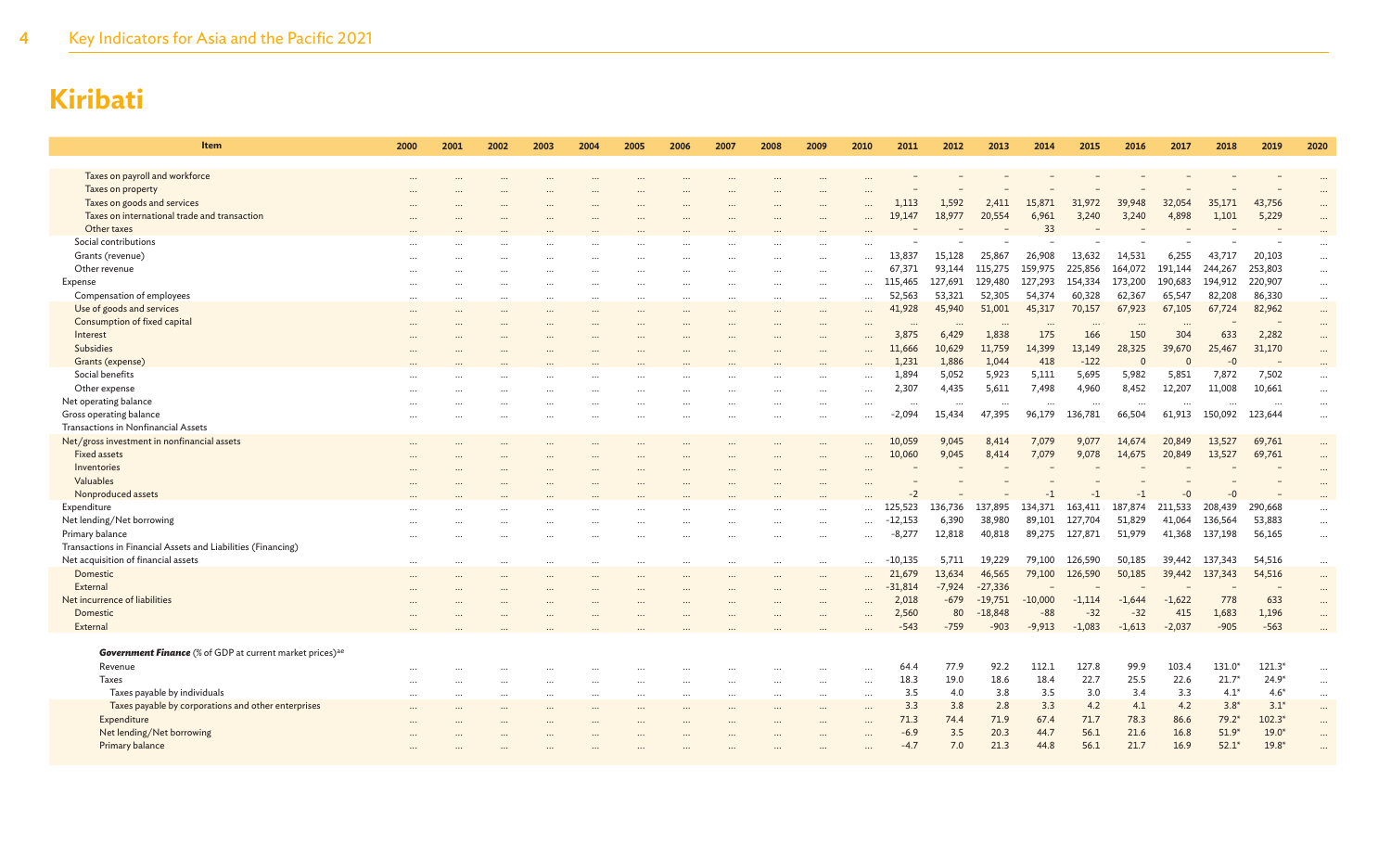4 Key Indicators for Asia and the Pacific 2021

| Item                                                                        | 2000      | 2001 | 2002     | 2003      | 2004 | 2005     | 2006     | 2007 | 2008      | 2009      | 2010      | 2011                 | 2012             | 2013                | 2014               | 2015               | 2016               | 2017             | 2018              | 2019                | 2020      |
|-----------------------------------------------------------------------------|-----------|------|----------|-----------|------|----------|----------|------|-----------|-----------|-----------|----------------------|------------------|---------------------|--------------------|--------------------|--------------------|------------------|-------------------|---------------------|-----------|
|                                                                             |           |      |          |           |      |          |          |      |           |           |           |                      |                  |                     |                    |                    |                    |                  |                   |                     |           |
| Taxes on payroll and workforce                                              |           |      |          |           |      |          |          |      |           |           |           |                      |                  |                     |                    |                    |                    |                  |                   |                     |           |
| Taxes on property                                                           |           |      |          |           |      |          |          |      |           |           |           |                      |                  |                     |                    |                    |                    |                  |                   |                     |           |
| Taxes on goods and services                                                 |           |      |          |           |      |          |          |      |           |           |           | 1,113                | 1,592            | 2,411               | 15,871             | 31,972             | 39,948             | 32,054           | 35,171            | 43,756              |           |
| Taxes on international trade and transaction<br>Other taxes                 |           |      |          |           |      |          |          |      |           |           |           | 19,147               | 18,977           | 20,554              | 6,961<br>33        | 3,240              | 3,240              | 4,898            | 1,101             | 5,229               | $\ddotsc$ |
| Social contributions                                                        |           |      |          |           |      |          |          |      |           |           |           |                      |                  |                     |                    |                    |                    |                  |                   |                     |           |
|                                                                             |           |      |          |           |      |          |          |      |           |           |           | 13,837               | 15,128           |                     | 26,908             | 13,632             |                    | 6,255            |                   | 20,103              |           |
| Grants (revenue)                                                            |           |      |          |           |      |          |          |      |           |           |           |                      |                  | 25,867              |                    |                    | 14,531             |                  | 43,717            |                     | $\cdots$  |
| Other revenue                                                               |           |      |          |           |      |          |          |      |           |           |           | 67,371               | 93,144           | 115,275             | 159,975            | 225,856            | 164,072            | 191,144          | 244,267           | 253,803             | $\ldots$  |
| Expense                                                                     | $\cdots$  |      |          | $\cdots$  |      |          |          |      |           | $\cdots$  |           | 115,465              | 127,691          | 129,480             | 127,293<br>54.374  | 154,334            | 173,200            | 190,683          | 194,912           | 220,907             | $\cdots$  |
| Compensation of employees                                                   |           |      |          |           |      |          |          |      |           | $\cdots$  | $\cdots$  | 52,563               | 53,321<br>45,940 | 52,305              | 45,317             | 60,328             | 62,367<br>67,923   | 65,547<br>67,105 | 82,208            | 86,330              | $\cdots$  |
| Use of goods and services                                                   |           |      |          |           |      |          |          |      |           | $\cdots$  |           | 41,928               |                  | 51,001              |                    | 70,157             |                    |                  | 67,724            | 82,962              | $\cdots$  |
| Consumption of fixed capital                                                |           |      |          |           |      |          |          |      |           |           |           |                      |                  |                     |                    |                    |                    |                  |                   |                     | $\cdots$  |
| Interest<br>Subsidies                                                       |           |      |          |           |      |          |          |      |           | $\cdots$  |           | 3,875                | 6,429            | 1,838               | 175                | 166                | 150                | 304              | 633               | 2,282               | $\cdots$  |
|                                                                             |           |      |          |           |      |          |          |      |           |           |           | 11,666               | 10,629           | 11,759              | 14,399             | 13,149             | 28,325<br>$\Omega$ | 39,670           | 25,467            | 31,170              | $\cdots$  |
| Grants (expense)                                                            |           |      |          |           |      |          |          |      |           |           |           | 1,231                | 1,886            | 1,044               | 418                | $-122$             |                    | $\Omega$         | -0                |                     | $\cdots$  |
| Social benefits                                                             |           |      |          |           |      |          |          |      |           |           |           | 1.894                | 5,052<br>4,435   | 5,923<br>5,611      | 5.111<br>7,498     | 5,695<br>4,960     | 5.982<br>8,452     | 5.851<br>12,207  | 7,872<br>11,008   | 7,502<br>10,661     | $\cdots$  |
| Other expense                                                               |           |      |          |           |      |          |          |      |           |           |           | 2,307                |                  |                     |                    |                    |                    |                  |                   |                     | $\ddotsc$ |
| Net operating balance                                                       |           |      |          |           |      |          |          |      |           | $\ddotsc$ |           | $\ddot{\phantom{a}}$ | $\cdots$         | $\cdots$            | $\ddotsc$          | $\ddots$           | $\cdots$           | $\ddots$         | $\ddots$          |                     | $\cdots$  |
| Gross operating balance                                                     |           |      |          |           |      |          |          |      |           |           | $\cdots$  | $-2,094$             | 15,434           | 47,395              | 96,179             | 136,781            | 66,504             | 61,913           | 150,092           | 123,644             | $\dots$   |
| Transactions in Nonfinancial Assets                                         |           |      |          |           |      |          |          |      |           |           |           |                      |                  |                     |                    |                    |                    |                  |                   |                     |           |
| Net/gross investment in nonfinancial assets                                 |           |      |          |           |      |          |          |      |           |           |           | 10,059               | 9,045<br>9,045   | 8,414               | 7,079<br>7,079     | 9,077              | 14,674<br>14,675   | 20,849<br>20,849 | 13,527<br>13,527  | 69,761<br>69,761    | $\cdots$  |
| <b>Fixed assets</b><br>Inventories                                          |           |      |          |           |      |          |          |      |           |           | $\ddotsc$ | 10,060               |                  | 8,414               |                    | 9,078              |                    |                  |                   |                     | $\ddotsc$ |
| Valuables                                                                   |           |      |          |           |      |          |          |      |           |           |           |                      |                  |                     |                    |                    |                    |                  |                   |                     | $\ddotsc$ |
|                                                                             |           |      |          |           |      |          |          |      |           |           |           | -2                   |                  |                     | $-1$               | $-1$               |                    |                  | $-0$              |                     |           |
| Nonproduced assets                                                          |           |      |          |           |      |          |          |      |           |           |           |                      |                  |                     |                    |                    | $-1$               | -0               |                   |                     |           |
| Expenditure                                                                 |           |      |          |           |      |          |          |      |           |           |           | 125,523              | 136,736          | 137,895             | 134,371            | 163,411            | 187,874            | 211,533          | 208,439           | 290,668             | $\ldots$  |
| Net lending/Net borrowing                                                   |           |      |          |           |      |          |          |      |           |           | $\cdots$  | $-12,153$            | 6,390<br>12,818  | 38,980              | 89,101             | 127,704<br>127,871 | 51,829             | 41,064           | 136,564           | 53,883              | $\cdots$  |
| Primary balance                                                             |           |      |          |           |      |          |          |      |           |           | $\cdots$  | $-8,277$             |                  | 40,818              | 89,275             |                    | 51,979             | 41,368           | 137,198           | 56,165              | $\cdots$  |
| Transactions in Financial Assets and Liabilities (Financing)                |           |      |          |           |      |          |          |      |           |           |           |                      |                  |                     |                    |                    |                    |                  |                   |                     |           |
| Net acquisition of financial assets                                         |           |      |          |           |      |          |          |      |           |           |           | $-10.135$            | 5,711            | 19,229              | 79,100             | 126,590            | 50,185             | 39,442           | 137,343           | 54,516              | $\cdots$  |
| Domestic                                                                    | $\ddotsc$ |      |          |           |      |          |          |      |           | $\ddotsc$ |           | 21,679               | 13,634           | 46,565              | 79,100             | 126,590            | 50,185             | 39,442           | 137,343           | 54,516              | $\cdots$  |
| External                                                                    |           |      |          |           |      |          |          |      |           | $\ddotsc$ | $\cdots$  | $-31,814$            | $-7,924$         | $-27,336$           |                    |                    |                    |                  |                   |                     |           |
| Net incurrence of liabilities                                               |           |      |          |           |      |          |          |      |           |           |           | 2,018                | $-679$           | $-19,751$           | $-10,000$<br>$-88$ | $-1,114$           | $-1,644$           | $-1,622$         | 778               | 633                 | $\cdots$  |
| Domestic                                                                    |           |      |          |           |      |          |          |      |           |           |           | 2,560<br>$-543$      | 80<br>$-759$     | $-18,848$<br>$-903$ |                    | $-32$<br>$-1.083$  | $-32$<br>$-1.613$  | 415              | 1,683<br>$-905$   | 1,196<br>$-563$     | $\ddotsc$ |
| External                                                                    |           |      |          |           |      |          |          |      |           |           |           |                      |                  |                     | $-9,913$           |                    |                    | $-2,037$         |                   |                     |           |
| <b>Government Finance</b> (% of GDP at current market prices) <sup>ae</sup> |           |      |          |           |      |          |          |      |           |           |           |                      |                  |                     |                    |                    |                    |                  |                   |                     |           |
|                                                                             |           |      |          |           |      |          |          |      |           |           |           |                      | 77.9             | 92.2                | 112.1              | 127.8              | 99.9               | 103.4            |                   |                     |           |
| Revenue<br>Taxes                                                            |           |      |          |           |      |          |          |      |           |           |           | 64.4<br>18.3         | 19.0             | 18.6                | 18.4               | 22.7               | 25.5               | 22.6             | 131.0*            | $121.3*$<br>$24.9*$ | $\cdots$  |
|                                                                             |           |      |          |           |      |          |          |      |           |           | $\cdots$  | 3.5                  | 4.0              | 3.8                 | 3.5                | 3.0                | 3.4                | 3.3              | $21.7*$<br>$4.1*$ | $4.6*$              | $\cdots$  |
| Taxes payable by individuals                                                | $\ddotsc$ |      | $\cdots$ | $\ddotsc$ |      | $\cdots$ | $\cdots$ |      | $\ddotsc$ | $\cdots$  | $\cdots$  |                      |                  |                     |                    |                    |                    |                  |                   |                     | $\cdots$  |
| Taxes payable by corporations and other enterprises                         |           |      |          |           |      |          |          |      |           |           |           | 3.3                  | 3.8              | 2.8                 | 3.3                | 4.2                | 4.1                | 4.2              | $3.8*$            | $3.1*$<br>$102.3*$  | $\cdots$  |
| Expenditure                                                                 |           |      |          |           |      |          |          |      |           |           | $\cdots$  | 71.3                 | 74.4             | 71.9                | 67.4               | 71.7               | 78.3               | 86.6             | $79.2*$           |                     | $\cdots$  |
| Net lending/Net borrowing                                                   |           |      |          |           |      |          |          |      |           |           |           | $-6.9$               | 3.5              | 20.3<br>21.3        | 44.7               | 56.1               | 21.6<br>21.7       | 16.8             | $51.9*$           | $19.0*$<br>$19.8*$  | $\ddotsc$ |
| Primary balance                                                             |           |      |          |           |      |          |          |      |           |           |           | $-4.7$               | 7.0              |                     | 44.8               | 56.1               |                    | 16.9             | $52.1*$           |                     |           |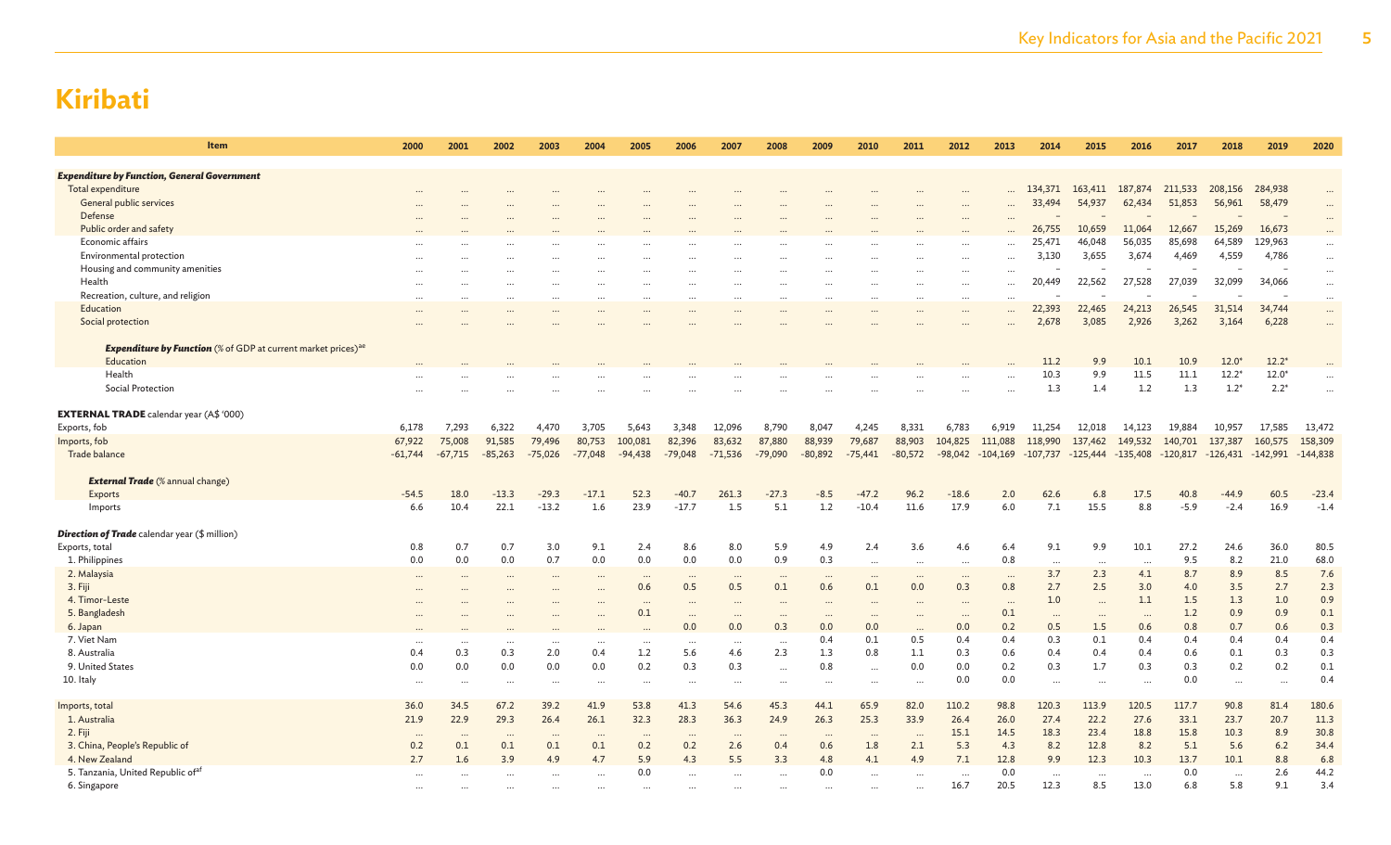| Item                                                                             | 2000            | 2001            | 2002            | 2003            | 2004             | 2005            | 2006            | 2007             | 2008            | 2009                 | 2010                            | 2011            | 2012             | 2013            | 2014            | 2015            | 2016            | 2017       | 2018        | 2019         | 2020                 |
|----------------------------------------------------------------------------------|-----------------|-----------------|-----------------|-----------------|------------------|-----------------|-----------------|------------------|-----------------|----------------------|---------------------------------|-----------------|------------------|-----------------|-----------------|-----------------|-----------------|------------|-------------|--------------|----------------------|
|                                                                                  |                 |                 |                 |                 |                  |                 |                 |                  |                 |                      |                                 |                 |                  |                 |                 |                 |                 |            |             |              |                      |
| <b>Expenditure by Function, General Government</b>                               |                 |                 |                 |                 |                  |                 |                 |                  |                 |                      |                                 |                 |                  |                 |                 |                 |                 |            |             |              |                      |
| Total expenditure                                                                |                 |                 |                 |                 |                  |                 |                 |                  |                 |                      |                                 |                 |                  |                 | 134,371         | 163,411         | 187,874         | 211,533    | 208,156     | 284,938      |                      |
| General public services<br>Defense                                               |                 |                 |                 |                 |                  |                 |                 |                  |                 |                      |                                 |                 |                  |                 | 33,494          | 54,937          | 62,434          | 51,853     | 56,961      | 58,479       |                      |
| Public order and safety                                                          |                 |                 |                 |                 |                  |                 |                 |                  |                 |                      |                                 |                 |                  |                 | 26,755          | 10,659          | 11,064          | 12,667     | 15,269      | 16,673       |                      |
| Economic affairs                                                                 |                 |                 |                 |                 |                  |                 |                 |                  |                 |                      |                                 |                 |                  |                 | 25,471          | 46,048          | 56,035          | 85,698     | 64,589      | 129,963      |                      |
| Environmental protection                                                         |                 |                 |                 |                 |                  |                 |                 |                  |                 |                      |                                 |                 |                  |                 | 3,130           | 3,655           | 3,674           | 4,469      | 4,559       | 4,786        | $\cdots$             |
| Housing and community amenities                                                  |                 |                 |                 |                 |                  |                 |                 |                  |                 |                      |                                 |                 |                  | $\cdots$        |                 |                 |                 |            |             |              | $\cdots$             |
| Health                                                                           |                 |                 |                 |                 |                  |                 |                 |                  |                 |                      |                                 |                 | .<br>$\ddotsc$   |                 | 20,449          | 22,562          | 27,528          | 27,039     | 32,099      | 34,066       | $\cdots$<br>$\cdots$ |
| Recreation, culture, and religion                                                |                 |                 | .               |                 |                  |                 | $\ddotsc$       |                  |                 | $\ddotsc$            |                                 |                 |                  |                 |                 |                 |                 |            |             |              |                      |
| Education                                                                        |                 |                 |                 |                 |                  |                 |                 |                  |                 |                      |                                 |                 |                  |                 | 22,393          | 22,465          | 24,213          | 26,545     | 31,514      | 34,744       | $\cdots$             |
| Social protection                                                                |                 |                 |                 |                 |                  |                 |                 |                  |                 |                      |                                 |                 |                  |                 | 2,678           | 3,085           | 2,926           | 3,262      | 3,164       | 6,228        | $\cdots$<br>$\cdots$ |
|                                                                                  |                 |                 |                 |                 |                  |                 |                 |                  |                 |                      |                                 |                 |                  |                 |                 |                 |                 |            |             |              |                      |
| <b>Expenditure by Function</b> (% of GDP at current market prices) <sup>ae</sup> |                 |                 |                 |                 |                  |                 |                 |                  |                 |                      |                                 |                 |                  |                 |                 |                 |                 |            |             |              |                      |
| Education                                                                        |                 |                 |                 |                 |                  |                 |                 |                  |                 |                      |                                 |                 |                  |                 | 11.2            | 9.9             | 10.1            | 10.9       | $12.0*$     | $12.2*$      |                      |
| Health                                                                           |                 |                 |                 |                 |                  |                 |                 |                  |                 |                      |                                 |                 |                  |                 | 10.3            | 9.9             | 11.5            | 11.1       | $12.2*$     | $12.0*$      |                      |
| Social Protection                                                                |                 |                 |                 |                 |                  |                 |                 |                  |                 |                      |                                 |                 |                  |                 | 1.3             | 1.4             | 1.2             | 1.3        | $1.2*$      | $2.2*$       |                      |
|                                                                                  |                 |                 |                 |                 |                  |                 |                 |                  |                 |                      |                                 |                 |                  |                 |                 |                 |                 |            |             |              |                      |
| <b>EXTERNAL TRADE</b> calendar year (A\$ '000)                                   |                 |                 |                 |                 |                  |                 |                 |                  |                 |                      |                                 |                 |                  |                 |                 |                 |                 |            |             |              |                      |
| Exports, fob                                                                     | 6,178           | 7,293           | 6,322           | 4,470           | 3,705            | 5,643           | 3,348           | 12,096           | 8,790           | 8,047                | 4,245                           | 8,331           | 6,783            | 6,919           | 11,254          | 12,018          | 14.123          | 19,884     | 10,957      | 17,585       | 13,472               |
| Imports, fob                                                                     | 67,922          | 75,008          | 91,585          | 79,496          | 80,753           | 100,081         | 82,396          | 83,632           | 87,880          | 88,939               | 79,687                          | 88,903          | 104,825          | 111,088         | 118,990         | 137,462         | 149,532         | 140,701    | 137,387     | 160,575      | 158,309              |
| Trade balance                                                                    | $-61,744$       | $-67,715$       | $-85,263$       | $-75,026$       | $-77,048$        | $-94,438$       | $-79,048$       | $-71,536$        | $-79,090$       | $-80,892$            | $-75,441$                       | $-80,572$       | $-98,042$        | $-104,169$      | $-107,737$      | $-125,444$      | $-135,408$      | $-120,817$ | $-126,431$  | $-142,991$   | $-144,838$           |
|                                                                                  |                 |                 |                 |                 |                  |                 |                 |                  |                 |                      |                                 |                 |                  |                 |                 |                 |                 |            |             |              |                      |
| <b>External Trade</b> (% annual change)                                          |                 |                 |                 |                 |                  |                 |                 |                  |                 |                      |                                 |                 |                  |                 |                 |                 |                 |            |             |              |                      |
| Exports                                                                          | $-54.5$         | 18.0            | $-13.3$         | $-29.3$         | $-17.1$          | 52.3            | $-40.7$         | 261.3            | $-27.3$         | $-8.5$               | $-47.2$                         | 96.2            | $-18.6$          | 2.0             | 62.6            | 6.8             | 17.5            | 40.8       | $-44.9$     | 60.5         | $-23.4$              |
| Imports                                                                          | 6.6             | 10.4            | 22.1            | $-13.2$         | 1.6              | 23.9            | $-17.7$         | 1.5              | 5.1             | 1.2                  | $-10.4$                         | 11.6            | 17.9             | 6.0             | 7.1             | 15.5            | 8.8             | $-5.9$     | $-2.4$      | 16.9         | $-1.4$               |
|                                                                                  |                 |                 |                 |                 |                  |                 |                 |                  |                 |                      |                                 |                 |                  |                 |                 |                 |                 |            |             |              |                      |
| <b>Direction of Trade</b> calendar year (\$ million)                             |                 |                 |                 |                 |                  |                 |                 |                  |                 |                      |                                 |                 |                  |                 |                 |                 |                 |            |             |              |                      |
| Exports, total                                                                   | 0.8             | 0.7<br>0.0      | 0.7             | 3.0             | 9.1<br>0.0       | 2.4<br>0.0      | 8.6             | 8.0<br>0.0       | 5.9<br>0.9      | 4.9                  | 2.4                             | 3.6             | 4.6              | 6.4             | 9.1             | 9.9             | 10.1            | 27.2       | 24.6<br>8.2 | 36.0<br>21.0 | 80.5<br>68.0         |
| 1. Philippines                                                                   | 0.0             |                 | 0.0             | 0.7             |                  |                 | 0.0             |                  |                 | 0.3                  |                                 | $\cdots$        | $\cdots$         | 0.8             | $\cdots$        | $\cdots$        | $\cdots$<br>4.1 | 9.5        | 8.9         | 8.5          | 7.6                  |
| 2. Malaysia<br>3. Fiji                                                           | $\cdots$        |                 |                 | $\cdots$        |                  | $\ddots$<br>0.6 | $\cdots$<br>0.5 | $\cdots$<br>0.5  | $\cdots$<br>0.1 | <br>0.6              | $\ddots$<br>0.1                 | $\cdots$<br>0.0 | $\cdots$<br>0.3  | $\ddots$<br>0.8 | 3.7<br>2.7      | 2.3<br>2.5      | 3.0             | 8.7<br>4.0 | 3.5         | 2.7          | 2.3                  |
| 4. Timor-Leste                                                                   |                 |                 |                 |                 |                  |                 |                 |                  |                 |                      |                                 |                 |                  |                 | 1.0             |                 | 1.1             | 1.5        | 1.3         | 1.0          | 0.9                  |
| 5. Bangladesh                                                                    |                 |                 |                 |                 |                  | $\cdots$<br>0.1 | $\ddotsc$       |                  | $\cdots$        | $\ddot{\phantom{a}}$ | $\ddotsc$                       |                 | $\ddotsc$        | $\cdots$<br>0.1 |                 | $\ddotsc$       |                 | 1.2        | 0.9         | 0.9          | 0.1                  |
| 6. Japan                                                                         |                 |                 |                 |                 |                  |                 | $\cdots$<br>0.0 | $\ddotsc$<br>0.0 | $\cdots$<br>0.3 | <br>0.0              | $\overline{\phantom{a}}$<br>0.0 | $\ddotsc$       | $\ddotsc$<br>0.0 | 0.2             | $\cdots$<br>0.5 | $\cdots$<br>1.5 | $\cdots$<br>0.6 | 0.8        | 0.7         | 0.6          | 0.3                  |
| 7. Viet Nam                                                                      |                 |                 |                 |                 |                  |                 |                 |                  |                 | 0.4                  | 0.1                             | $\cdots$<br>0.5 | 0.4              | 0.4             | 0.3             | 0.1             | 0.4             | 0.4        | 0.4         | 0.4          | 0.4                  |
| 8. Australia                                                                     | $\cdots$<br>0.4 | $\cdots$<br>0.3 | $\cdots$<br>0.3 | $\cdots$<br>2.0 | $\ddotsc$<br>0.4 | $\cdots$<br>1.2 | $\cdots$<br>5.6 | $\cdots$<br>4.6  | $\cdots$<br>2.3 | 1.3                  | 0.8                             | 1.1             | 0.3              | 0.6             | 0.4             | 0.4             | 0.4             | 0.6        | 0.1         | 0.3          | 0.3                  |
| 9. United States                                                                 | 0.0             | 0.0             | 0.0             | 0.0             | 0.0              | 0.2             | 0.3             | 0.3              |                 | 0.8                  |                                 | 0.0             | 0.0              | 0.2             | 0.3             | 1.7             | 0.3             | 0.3        | 0.2         | 0.2          | 0.1                  |
| 10. Italy                                                                        | $\cdots$        |                 | $\cdots$        |                 | $\cdots$         | $\cdots$        | $\cdots$        | $\cdots$         | $\cdots$        |                      | $\ddots$<br>$\cdots$            | $\cdots$        | 0.0              | 0.0             | $\cdots$        | $\cdots$        | $\cdots$        | 0.0        | $\cdots$    |              | 0.4                  |
|                                                                                  |                 | $\cdots$        |                 | $\cdots$        |                  |                 |                 |                  | $\cdots$        |                      |                                 |                 |                  |                 |                 |                 |                 |            |             |              |                      |
| Imports, total                                                                   | 36.0            | 34.5            | 67.2            | 39.2            | 41.9             | 53.8            | 41.3            | 54.6             | 45.3            | 44.1                 | 65.9                            | 82.0            | 110.2            | 98.8            | 120.3           | 113.9           | 120.5           | 117.7      | 90.8        | 81.4         | 180.6                |
| 1. Australia                                                                     | 21.9            | 22.9            | 29.3            | 26.4            | 26.1             | 32.3            | 28.3            | 36.3             | 24.9            | 26.3                 | 25.3                            | 33.9            | 26.4             | 26.0            | 27.4            | 22.2            | 27.6            | 33.1       | 23.7        | 20.7         | 11.3                 |
| 2. Fiji                                                                          | $\cdots$        |                 | $\cdots$        | $\cdots$        | $\sim$           | $\cdots$        | $\ddotsc$       | $\cdot \cdot$    | $\cdots$        | $\ddotsc$            | $\cdots$                        | $\cdots$        | 15.1             | 14.5            | 18.3            | 23.4            | 18.8            | 15.8       | 10.3        | 8.9          | 30.8                 |
| 3. China, People's Republic of                                                   | 0.2             | 0.1             | 0.1             | 0.1             | 0.1              | 0.2             | 0.2             | 2.6              | 0.4             | 0.6                  | 1.8                             | 2.1             | 5.3              | 4.3             | 8.2             | 12.8            | 8.2             | 5.1        | 5.6         | 6.2          | 34.4                 |
| 4. New Zealand                                                                   | 2.7             | 1.6             | 3.9             | 4.9             | 4.7              | 5.9             | 4.3             | 5.5              | 3.3             | 4.8                  | 4.1                             | 4.9             | 7.1              | 12.8            | 9.9             | 12.3            | 10.3            | 13.7       | 10.1        | 8.8          | 6.8                  |
| 5. Tanzania, United Republic ofaf                                                |                 |                 |                 |                 |                  | 0.0             |                 |                  |                 | 0.0                  |                                 |                 |                  | 0.0             | $\ddots$        |                 | $\cdots$        | 0.0        | $\cdots$    | 2.6          | 44.2                 |
| 6. Singapore                                                                     |                 |                 |                 |                 |                  |                 |                 |                  |                 | $\ddot{\phantom{a}}$ |                                 |                 | 16.7             | 20.5            | 12.3            | 8.5             | 13.0            | 6.8        | 5.8         | 9.1          | 3.4                  |
|                                                                                  |                 |                 |                 |                 |                  |                 |                 |                  |                 |                      |                                 |                 |                  |                 |                 |                 |                 |            |             |              |                      |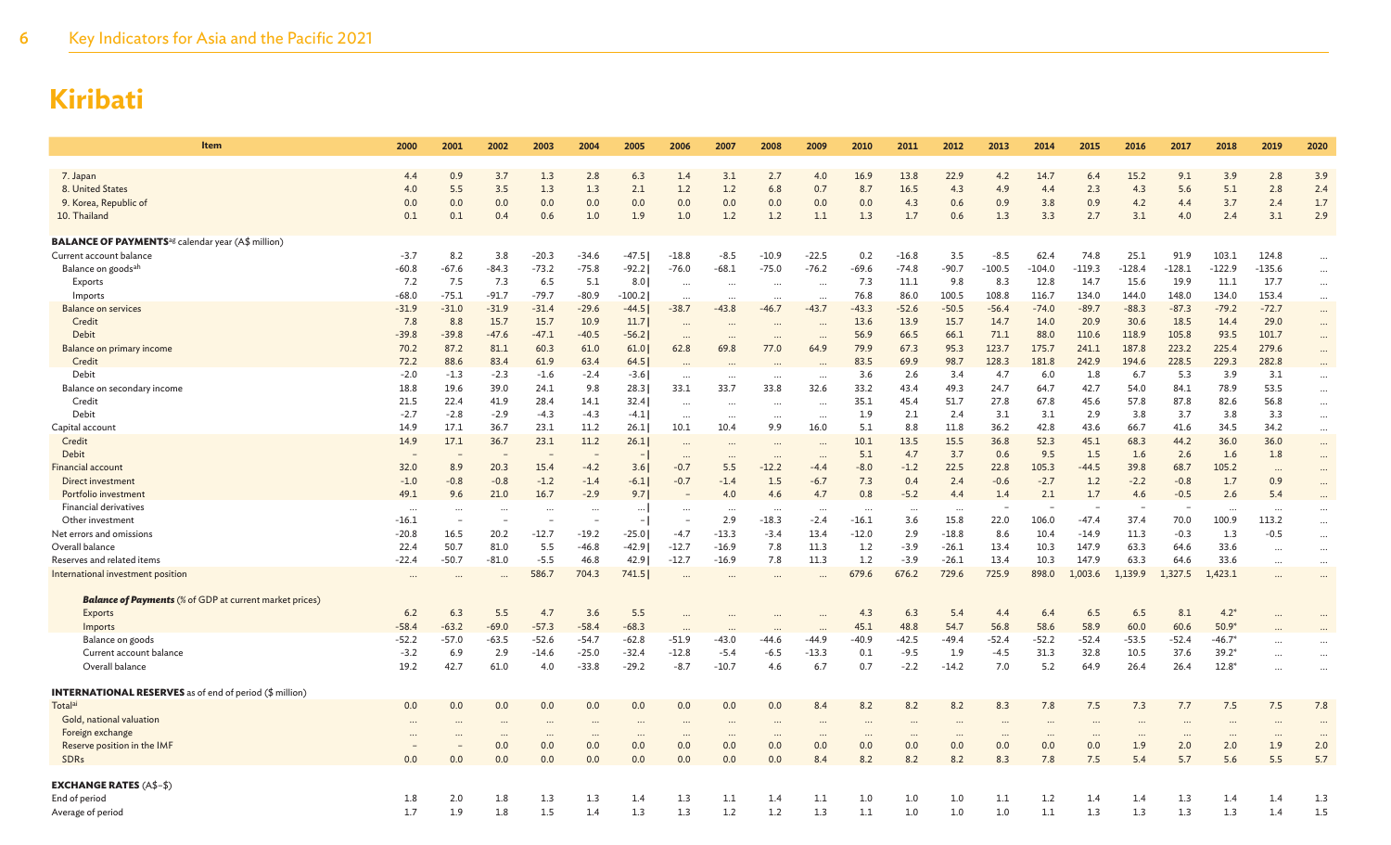| Item                                                                 | 2000     | 2001    | 2002                     | 2003     | 2004     | 2005           | 2006      | 2007      | 2008     | 2009                 | 2010     | 2011     | 2012     | 2013      | 2014     | 2015     | 2016     | 2017     | 2018           | 2019                     | 2020     |
|----------------------------------------------------------------------|----------|---------|--------------------------|----------|----------|----------------|-----------|-----------|----------|----------------------|----------|----------|----------|-----------|----------|----------|----------|----------|----------------|--------------------------|----------|
|                                                                      |          |         |                          |          |          |                |           |           |          |                      |          |          |          |           |          |          |          |          |                |                          |          |
| 7. Japan                                                             | 4.4      | 0.9     | 3.7                      | 1.3      | 2.8      | 6.3            | 1.4       | 3.1       | 2.7      | 4.0                  | 16.9     | 13.8     | 22.9     | 4.2       | 14.7     | 6.4      | 15.2     | 9.1      | 3.9            | 2.8                      | 3.9      |
| 8. United States                                                     | 4.0      | 5.5     | 3.5                      | 1.3      | 1.3      | 2.1            | 1.2       | 1.2       | 6.8      | 0.7                  | 8.7      | 16.5     | 4.3      | 4.9       | 4.4      | 2.3      | 4.3      | 5.6      | 5.1            | 2.8                      | 2.4      |
| 9. Korea, Republic of                                                | 0.0      | 0.0     | 0.0                      | 0.0      | 0.0      | 0.0            | 0.0       | 0.0       | 0.0      | 0.0                  | 0.0      | 4.3      | 0.6      | 0.9       | 3.8      | 0.9      | 4.2      | 4.4      | 3.7            | 2.4                      | 1.7      |
| 10. Thailand                                                         | 0.1      | 0.1     | 0.4                      | 0.6      | 1.0      | 1.9            | 1.0       | 1.2       | 1.2      | 1.1                  | 1.3      | 1.7      | 0.6      | 1.3       | 3.3      | 2.7      | 3.1      | 4.0      | 2.4            | 3.1                      | 2.9      |
| <b>BALANCE OF PAYMENTS</b> <sup>ag</sup> calendar year (A\$ million) |          |         |                          |          |          |                |           |           |          |                      |          |          |          |           |          |          |          |          |                |                          |          |
| Current account balance                                              | $-3.7$   | 8.2     | 3.8                      | $-20.3$  | $-34.6$  | $-47.5$        | $-18.8$   | $-8.5$    | $-10.9$  | $-22.5$              | 0.2      | $-16.8$  | 3.5      | $-8.5$    | 62.4     | 74.8     | 25.1     | 91.9     | 103.1          | 124.8                    | $\cdots$ |
| Balance on goods <sup>ah</sup>                                       | $-60.8$  | $-67.6$ | $-84.3$                  | $-73.2$  | $-75.8$  | $-92.2$        | $-76.0$   | $-68.1$   | $-75.0$  | $-76.2$              | $-69.6$  | $-74.8$  | $-90.7$  | $-100.5$  | $-104.0$ | $-119.3$ | $-128.4$ | $-128.1$ | $-122.9$       | $-135.6$                 | $\cdots$ |
| Exports                                                              | 7.2      | 7.5     | 7.3                      | 6.5      | 5.1      | 8.0            | $\cdots$  | $\cdots$  | $\cdots$ | $\cdots$             | 7.3      | 11.1     | 9.8      | 8.3       | 12.8     | 14.7     | 15.6     | 19.9     | 11.1           | 17.7                     | $\cdots$ |
| Imports                                                              | $-68.0$  | $-75.1$ | $-91.7$                  | $-79.7$  | $-80.9$  | $-100.2$       |           | $\cdots$  | $\cdots$ | $\cdots$             | 76.8     | 86.0     | 100.5    | 108.8     | 116.7    | 134.0    | 144.0    | 148.0    | 134.0          | 153.4                    | $\cdots$ |
| <b>Balance on services</b>                                           | $-31.9$  | $-31.0$ | $-31.9$                  | $-31.4$  | $-29.6$  | $-44.5$        | $-38.7$   | $-43.8$   | $-46.7$  | $-43.7$              | $-43.3$  | $-52.6$  | $-50.5$  | $-56.4$   | $-74.0$  | $-89.7$  | $-88.3$  | $-87.3$  | $-79.2$        | $-72.7$                  | $\cdots$ |
| Credit                                                               | 7.8      | 8.8     | 15.7                     | 15.7     | 10.9     | 11.7           |           |           |          |                      | 13.6     | 13.9     | 15.7     | 14.7      | 14.0     | 20.9     | 30.6     | 18.5     | 14.4           | 29.0                     | $\cdots$ |
| Debit                                                                | $-39.8$  | $-39.8$ | $-47.6$                  | $-47.1$  | $-40.5$  | $-56.2$        |           |           |          |                      | 56.9     | 66.5     | 66.1     | 71.1      | 88.0     | 110.6    | 118.9    | 105.8    | 93.5           | 101.7                    |          |
| Balance on primary income                                            | 70.2     | 87.2    | 81.1                     | 60.3     | 61.0     | 61.0           | 62.8      | 69.8      | 77.0     | 64.9                 | 79.9     | 67.3     | 95.3     | 123.7     | 175.7    | 241.1    | 187.8    | 223.2    | 225.4          | 279.6                    | $\cdots$ |
| Credit                                                               | 72.2     | 88.6    | 83.4                     | 61.9     | 63.4     | 64.5           | $\ddots$  | $\ddotsc$ |          |                      | 83.5     | 69.9     | 98.7     | 128.3     | 181.8    | 242.9    | 194.6    | 228.5    | 229.3          | 282.8                    | $\cdots$ |
| Debit                                                                | $-2.0$   | $-1.3$  | $-2.3$                   | $-1.6$   | $-2.4$   | $-3.6$         | $\cdots$  | $\cdots$  | $\cdots$ |                      | 3.6      | 2.6      | 3.4      | 4.7       | 6.0      | 1.8      | 6.7      | 5.3      | 3.9            | 3.1                      | $\cdots$ |
| Balance on secondary income                                          | 18.8     | 19.6    | 39.0                     | 24.1     | 9.8      | 28.3           | 33.1      | 33.7      | 33.8     | 32.6                 | 33.2     | 43.4     | 49.3     | 24.7      | 64.7     | 42.7     | 54.0     | 84.1     | 78.9           | 53.5                     | $\cdots$ |
| Credit                                                               | 21.5     | 22.4    | 41.9                     | 28.4     | 14.1     | 32.4           | $\cdots$  | $\cdots$  | $\cdots$ | $\ddotsc$            | 35.1     | 45.4     | 51.7     | 27.8      | 67.8     | 45.6     | 57.8     | 87.8     | 82.6           | 56.8                     | $\cdots$ |
| Debit                                                                | $-2.7$   | $-2.8$  | $-2.9$                   | $-4.3$   | $-4.3$   | $-4.1$         | $\cdots$  | $\ldots$  | $\cdots$ | $\cdots$             | 1.9      | 2.1      | 2.4      | 3.1       | 3.1      | 2.9      | 3.8      | 3.7      | 3.8            | 3.3                      | $\cdots$ |
| Capital account                                                      | 14.9     | 17.1    | 36.7                     | 23.1     | 11.2     | 26.1           | 10.1      | 10.4      | 9.9      | 16.0                 | 5.1      | 8.8      | 11.8     | 36.2      | 42.8     | 43.6     | 66.7     | 41.6     | 34.5           | 34.2                     | $\cdots$ |
| Credit                                                               | 14.9     | 17.1    | 36.7                     | 23.1     | 11.2     | 26.1           | $\ddotsc$ | $\cdots$  | $\cdots$ | $\ddotsc$            | 10.1     | 13.5     | 15.5     | 36.8      | 52.3     | 45.1     | 68.3     | 44.2     | 36.0           | 36.0                     | $\cdots$ |
| Debit                                                                |          |         | $\overline{\phantom{a}}$ |          |          |                |           | $\cdots$  | $\cdots$ | $\ddot{\phantom{a}}$ | 5.1      | 4.7      | 3.7      | 0.6       | 9.5      | 1.5      | 1.6      | 2.6      | 1.6            | 1.8                      | $\cdots$ |
| <b>Financial account</b>                                             | 32.0     | 8.9     | 20.3                     | 15.4     | $-4.2$   | 3.6            | $-0.7$    | 5.5       | $-12.2$  | $-4.4$               | $-8.0$   | $-1.2$   | 22.5     | 22.8      | 105.3    | $-44.5$  | 39.8     | 68.7     | 105.2          | $\overline{\phantom{a}}$ | $\cdots$ |
| Direct investment                                                    | $-1.0$   | $-0.8$  | $-0.8$                   | $-1.2$   | $-1.4$   | $-6.1$         | $-0.7$    | $-1.4$    | 1.5      | $-6.7$               | 7.3      | 0.4      | 2.4      | $-0.6$    | $-2.7$   | 1.2      | $-2.2$   | $-0.8$   | 1.7            | 0.9                      |          |
| Portfolio investment                                                 | 49.1     | 9.6     | 21.0                     | 16.7     | $-2.9$   | 9.71           |           | 4.0       | 4.6      | 4.7                  | 0.8      | $-5.2$   | 4.4      | 1.4       | 2.1      | 1.7      | 4.6      | $-0.5$   | 2.6            | 5.4                      |          |
| <b>Financial derivatives</b>                                         |          |         | $\ddot{\phantom{a}}$     |          |          |                | $\cdots$  | $\cdot$ . |          |                      |          |          |          |           |          |          |          |          |                |                          |          |
| Other investment                                                     | $-16.1$  |         | ÷.                       |          |          | $\overline{a}$ |           | 2.9       | $-18.3$  | $-2.4$               | $-16.1$  | 3.6      | 15.8     | 22.0      | 106.0    | $-47.4$  | 37.4     | 70.0     | 100.9          | 113.2                    | $\cdots$ |
| Net errors and omissions                                             | $-20.8$  | 16.5    | 20.2                     | $-12.7$  | $-19.2$  | $-25.0$        | $-4.7$    | $-13.3$   | $-3.4$   | 13.4                 | $-12.0$  | 2.9      | $-18.8$  | 8.6       | 10.4     | $-14.9$  | 11.3     | $-0.3$   | 1.3            | $-0.5$                   | $\cdots$ |
| Overall balance                                                      | 22.4     | 50.7    | 81.0                     | 5.5      | $-46.8$  | $-42.9$        | $-12.7$   | $-16.9$   | 7.8      | 11.3                 | 1.2      | $-3.9$   | $-26.1$  | 13.4      | 10.3     | 147.9    | 63.3     | 64.6     | 33.6           |                          | $\cdots$ |
| Reserves and related items                                           | $-22.4$  | $-50.7$ | -81.0                    | $-5.5$   | 46.8     | 42.9           | $-12.7$   | $-16.9$   | 7.8      | 11.3                 | 1.2      | $-3.9$   | $-26.1$  | 13.4      | 10.3     | 147.9    | 63.3     | 64.6     | 33.6           | $\cdots$                 | $\cdots$ |
| International investment position                                    |          |         |                          | 586.7    | 704.3    | 741.5          |           | $\ddotsc$ |          |                      | 679.6    | 676.2    | 729.6    | 725.9     | 898.0    | 1,003.6  | 1.139.9  | 1,327.5  | 1,423.1        |                          | $\cdots$ |
| <b>Balance of Payments</b> (% of GDP at current market prices)       |          |         |                          |          |          |                |           |           |          |                      |          |          |          |           |          |          |          |          |                |                          |          |
| Exports                                                              | 6.2      | 6.3     | 5.5                      | 4.7      | 3.6      | 5.5            |           |           |          |                      | 4.3      | 6.3      | 5.4      | 4.4       | 6.4      | 6.5      | 6.5      | 8.1      | $4.2*$         |                          |          |
| Imports                                                              | $-58.4$  | $-63.2$ | $-69.0$                  | $-57.3$  | $-58.4$  | $-68.3$        |           |           |          | $\ddotsc$            | 45.1     | 48.8     | 54.7     | 56.8      | 58.6     | 58.9     | 60.0     | 60.6     | $50.9*$        |                          |          |
| Balance on goods                                                     | $-52.2$  | $-57.0$ | -63.5                    | $-52.6$  | $-54.7$  | $-62.8$        | $-51.9$   | $-43.0$   | $-44.6$  | $-44.9$              | $-40.9$  | $-42.5$  | $-49.4$  | $-52.4$   | $-52.2$  | $-52.4$  | -53.5    | $-52.4$  | $-46.7*$       | $\ddotsc$                | $\cdots$ |
| Current account balance                                              | $-3.2$   | 6.9     | 2.9                      | $-14.6$  | $-25.0$  | $-32.4$        | $-12.8$   | $-5.4$    | $-6.5$   | $-13.3$              | 0.1      | $-9.5$   | 1.9      | $-4.5$    | 31.3     | 32.8     | 10.5     | 37.6     | $39.2*$        |                          | $\cdots$ |
| Overall balance                                                      | 19.2     | 42.7    | 61.0                     | 4.0      | $-33.8$  | $-29.2$        | $-8.7$    | $-10.7$   | 4.6      | 6.7                  | 0.7      | $-2.2$   | $-14.2$  | 7.0       | 5.2      | 64.9     | 26.4     | 26.4     | $12.8^{\circ}$ |                          |          |
| <b>INTERNATIONAL RESERVES</b> as of end of period (\$ million)       |          |         |                          |          |          |                |           |           |          |                      |          |          |          |           |          |          |          |          |                |                          |          |
| Totalai                                                              | 0.0      | 0.0     | 0.0                      | 0.0      | 0.0      | 0.0            | 0.0       | 0.0       | 0.0      | 8.4                  | 8.2      | 8.2      | 8.2      | 8.3       | 7.8      | 7.5      | 7.3      | 7.7      | 7.5            | 7.5                      | 7.8      |
| Gold, national valuation                                             | $\ddots$ |         |                          |          |          |                |           | $\cdot$ . | $\cdots$ |                      |          |          |          | $\cdot$ . |          |          |          |          |                |                          |          |
| Foreign exchange                                                     | $\cdots$ |         | $\cdots$                 | $\cdots$ | $\cdots$ | $\cdots$       | $\cdots$  | $\cdots$  | $\cdots$ | $\cdots$             | $\cdots$ | $\cdots$ | $\cdots$ | $\cdots$  | $\cdots$ | $\cdots$ | $\cdots$ | $\cdots$ | $\cdots$       | $\cdots$                 | $\cdots$ |
| Reserve position in the IMF                                          |          |         | 0.0                      | 0.0      | 0.0      | 0.0            | 0.0       | 0.0       | 0.0      | 0.0                  | 0.0      | 0.0      | 0.0      | 0.0       | 0.0      | 0.0      | 1.9      | 2.0      | 2.0            | 1.9                      | 2.0      |
| SDRs                                                                 | 0.0      | 0.0     | 0.0                      | 0.0      | 0.0      | 0.0            | 0.0       | 0.0       | 0.0      | 8.4                  | 8.2      | 8.2      | 8.2      | 8.3       | 7.8      | 7.5      | 5.4      | 5.7      | 5.6            | 5.5                      | 5.7      |
| <b>EXCHANGE RATES (A\$-\$)</b>                                       |          |         |                          |          |          |                |           |           |          |                      |          |          |          |           |          |          |          |          |                |                          |          |
| End of period                                                        | 1.8      | 2.0     | 1.8                      | 1.3      | 1.3      | 1.4            | 1.3       | 1.1       | 1.4      | 1.1                  | 1.0      | 1.0      | 1.0      | 1.1       | 1.2      | 1.4      | 1.4      | 1.3      | 1.4            | 1.4                      | 1.3      |
| Average of period                                                    | 1.7      | 1.9     | 1.8                      | 1.5      | 1.4      | 1.3            | 1.3       | 1.2       | 1.2      | 1.3                  | 1.1      | 1.0      | 1.0      | 1.0       | 1.1      | 1.3      | 1.3      | 1.3      | 1.3            | 1.4                      | 1.5      |
|                                                                      |          |         |                          |          |          |                |           |           |          |                      |          |          |          |           |          |          |          |          |                |                          |          |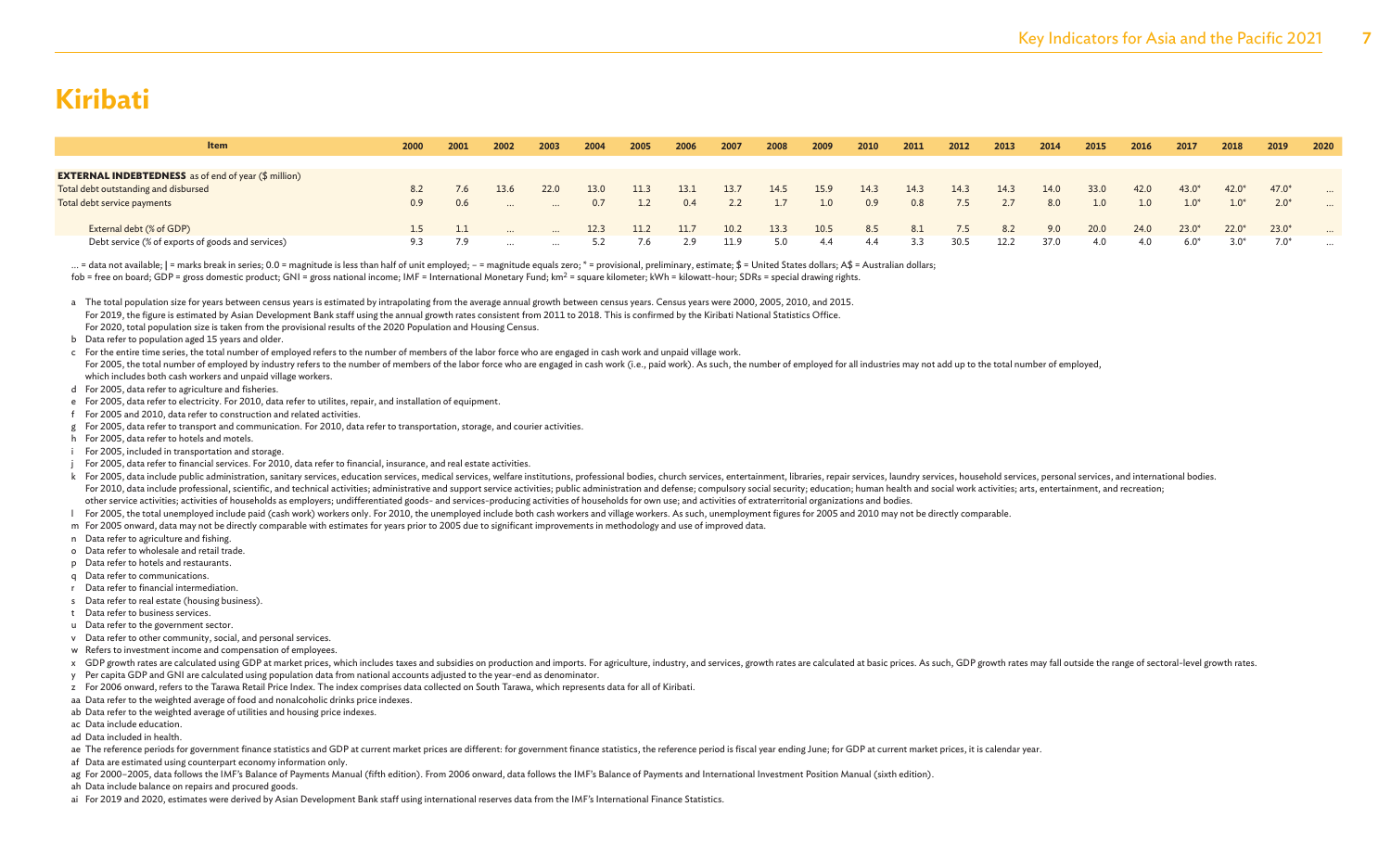| <b>Item</b>                                                 | 2000             | 2001 | 2002     | 2003     | 2004 | 2005 | 2006 | 2007 | 2008 | 2009 | 2010 | 2011 | 2012 | 2013 | 2014 | 2015 | 2016 | 2017    | 2018    | 2019    | 2020     |
|-------------------------------------------------------------|------------------|------|----------|----------|------|------|------|------|------|------|------|------|------|------|------|------|------|---------|---------|---------|----------|
|                                                             |                  |      |          |          |      |      |      |      |      |      |      |      |      |      |      |      |      |         |         |         |          |
| <b>EXTERNAL INDEBTEDNESS</b> as of end of year (\$ million) |                  |      |          |          |      |      |      |      |      |      |      |      |      |      |      |      |      |         |         |         |          |
| Total debt outstanding and disbursed                        |                  |      | 13.6     | 22.0     | 13.0 | 11.3 | 13.1 | 13.7 | 14.5 | 15.9 | 14.3 | 14.3 | 14.3 | 14.3 | 14.0 | 33.0 | 42.0 | $43.0*$ | $42.0*$ | $47.0*$ |          |
| Total debt service payments                                 | 0.9 <sup>°</sup> | 0.6  |          |          | 0.7  |      | 0.4  |      | 1.7  |      | 0.9  | 0.8  | 7.5  | 2.7  | 8.0  | 1.0  | 1.0  | $1.0*$  | $1.0*$  | $2.0*$  |          |
| External debt (% of GDP)                                    |                  |      | $\cdots$ | $\cdots$ | 12.3 | 11.2 | 11.7 | 10.2 | 13.3 | 10.5 | 8.5  | 8.1  | 7.5  | 8.2  | 9.0  | 20.0 | 24.0 | $23.0*$ | $22.0*$ | $23.0*$ |          |
| Debt service (% of exports of goods and services)           | 9.3              | 7.9  |          |          |      | 7.6  | 2.9  | 11.9 | 5.0  | -4.4 |      | 3.3  | 30.5 | 12.2 | 37.0 | 4.0  | 4.0  | $6.0*$  |         |         | $\cdots$ |

... = data not available; | = marks break in series; 0.0 = magnitude is less than half of unit employed; - = magnitude equals zero; \* = provisional, preliminary, estimate; \$ = United States dollars; A\$ = Australian dollars fob = free on board; GDP = gross domestic product; GNI = gross national income; IMF = International Monetary Fund; km<sup>2</sup> = square kilometer; kWh = kilowatt-hour; SDRs = special drawing rights.

a The total population size for years between census years is estimated by intrapolating from the average annual growth between census years. Census years were 2000, 2005, 2010, and 2015. For 2019, the figure is estimated by Asian Development Bank staff using the annual growth rates consistent from 2011 to 2018. This is confirmed by the Kiribati National Statistics Office. For 2020, total population size is taken from the provisional results of the 2020 Population and Housing Census.

#### b Data refer to population aged 15 years and older.

- c For the entire time series, the total number of employed refers to the number of members of the labor force who are engaged in cash work and unpaid village work.
- For 2005, the total number of employed by industry refers to the number of members of the labor force who are engaged in cash work (i.e., paid work). As such, the number of employed for all industries may not add up to the which includes both cash workers and unpaid village workers.
- d For 2005, data refer to agriculture and fisheries.
- e For 2005, data refer to electricity. For 2010, data refer to utilites, repair, and installation of equipment.
- f For 2005 and 2010, data refer to construction and related activities.
- g For 2005, data refer to transport and communication. For 2010, data refer to transportation, storage, and courier activities.
- h For 2005, data refer to hotels and motels.
- i For 2005, included in transportation and storage.
- For 2005, data refer to financial services. For 2010, data refer to financial, insurance, and real estate activities.
- k For 2005, data include public administration, sanitary services, education services, medical services, welfare institutions, professional bodies, church services, entertainment, libraries, repair services, laundry servic For 2010, data include professional, scientific, and technical activities; administrative and support service activities; public administration and defense; compulsory social security; education; human health and social wo other service activities; activities of households as employers; undifferentiated goods- and services-producing activities of households for own use; and activities of extraterritorial organizations and bodies.
- l For 2005, the total unemployed include paid (cash work) workers only. For 2010, the unemployed include both cash workers and village workers. As such, unemployment figures for 2005 and 2010 may not be directly comparable.
- m For 2005 onward, data may not be directly comparable with estimates for years prior to 2005 due to significant improvements in methodology and use of improved data.
- n Data refer to agriculture and fishing.
- o Data refer to wholesale and retail trade.
- p Data refer to hotels and restaurants.
- q Data refer to communications.
- r Data refer to financial intermediation.
- s Data refer to real estate (housing business).
- t Data refer to business services.
- u Data refer to the government sector.
- v Data refer to other community, social, and personal services.
- w Refers to investment income and compensation of employees.
- x GDP growth rates are calculated using GDP at market prices, which includes taxes and subsidies on production and imports. For agriculture, industry, and services, growth rates are calculated at basic prices. As such, GDP
- y Per capita GDP and GNI are calculated using population data from national accounts adjusted to the year-end as denominator.
- z For 2006 onward, refers to the Tarawa Retail Price Index. The index comprises data collected on South Tarawa, which represents data for all of Kiribati.
- aa Data refer to the weighted average of food and nonalcoholic drinks price indexes.
- ab Data refer to the weighted average of utilities and housing price indexes.
- ac Data include education.
- ad Data included in health.
- ae The reference periods for government finance statistics and GDP at current market prices are different: for government finance statistics, the reference period is fiscal year ending June; for GDP at current market price
- af Data are estimated using counterpart economy information only.
- ag For 2000-2005, data follows the IMF's Balance of Payments Manual (fifth edition). From 2006 onward, data follows the IMF's Balance of Payments and International Investment Position Manual (sixth edition).
- ah Data include balance on repairs and procured goods.
- ai For 2019 and 2020, estimates were derived by Asian Development Bank staff using international reserves data from the IMF's International Finance Statistics.